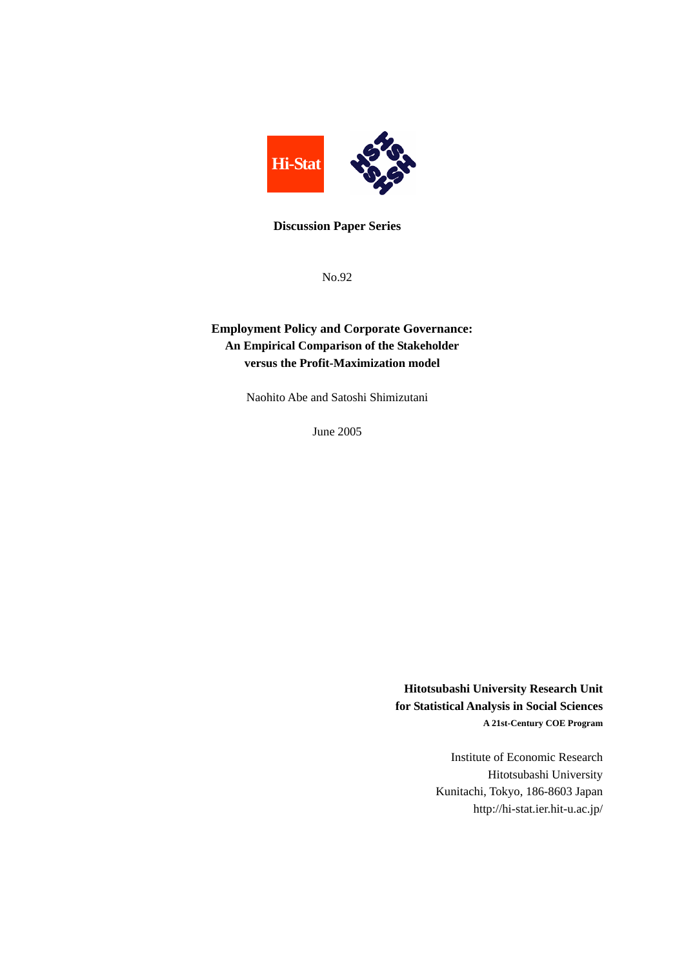

### **Discussion Paper Series**

No.92

## **Employment Policy and Corporate Governance: An Empirical Comparison of the Stakeholder versus the Profit-Maximization model**

Naohito Abe and Satoshi Shimizutani

June 2005

**Hitotsubashi University Research Unit for Statistical Analysis in Social Sciences A 21st-Century COE Program** 

> Institute of Economic Research Hitotsubashi University Kunitachi, Tokyo, 186-8603 Japan http://hi-stat.ier.hit-u.ac.jp/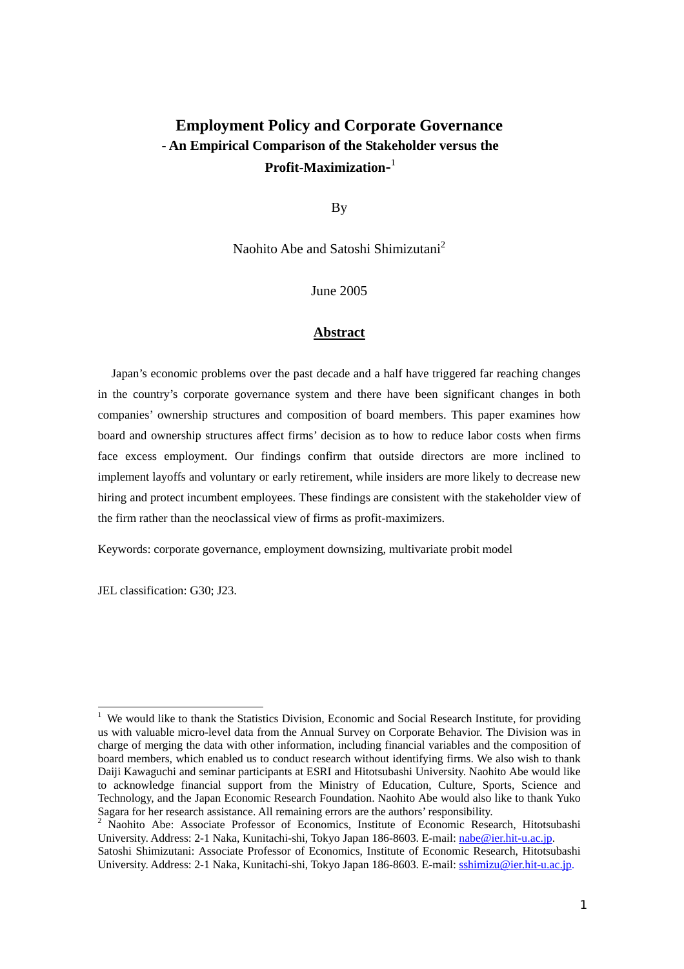# **Employment Policy and Corporate Governance - An Empirical Comparison of the Stakeholder versus the Profit-Maximization-**1

By

Naohito Abe and Satoshi Shimizutani<sup>2</sup>

June 2005

#### **Abstract**

 Japan's economic problems over the past decade and a half have triggered far reaching changes in the country's corporate governance system and there have been significant changes in both companies' ownership structures and composition of board members. This paper examines how board and ownership structures affect firms' decision as to how to reduce labor costs when firms face excess employment. Our findings confirm that outside directors are more inclined to implement layoffs and voluntary or early retirement, while insiders are more likely to decrease new hiring and protect incumbent employees. These findings are consistent with the stakeholder view of the firm rather than the neoclassical view of firms as profit-maximizers.

Keywords: corporate governance, employment downsizing, multivariate probit model

JEL classification: G30; J23.

<sup>&</sup>lt;sup>1</sup> We would like to thank the Statistics Division, Economic and Social Research Institute, for providing us with valuable micro-level data from the Annual Survey on Corporate Behavior. The Division was in charge of merging the data with other information, including financial variables and the composition of board members, which enabled us to conduct research without identifying firms. We also wish to thank Daiji Kawaguchi and seminar participants at ESRI and Hitotsubashi University. Naohito Abe would like to acknowledge financial support from the Ministry of Education, Culture, Sports, Science and Technology, and the Japan Economic Research Foundation. Naohito Abe would also like to thank Yuko Sagara for her research assistance. All remaining errors are the authors' responsibility.<br><sup>2</sup> Naohito Abe: Associate Professor of Economics, Institute of Economic Research, Hitotsubashi

University. Address: 2-1 Naka, Kunitachi-shi, Tokyo Japan 186-8603. E-mail: nabe@ier.hit-u.ac.jp.

Satoshi Shimizutani: Associate Professor of Economics, Institute of Economic Research, Hitotsubashi University. Address: 2-1 Naka, Kunitachi-shi, Tokyo Japan 186-8603. E-mail: sshimizu@ier.hit-u.ac.jp.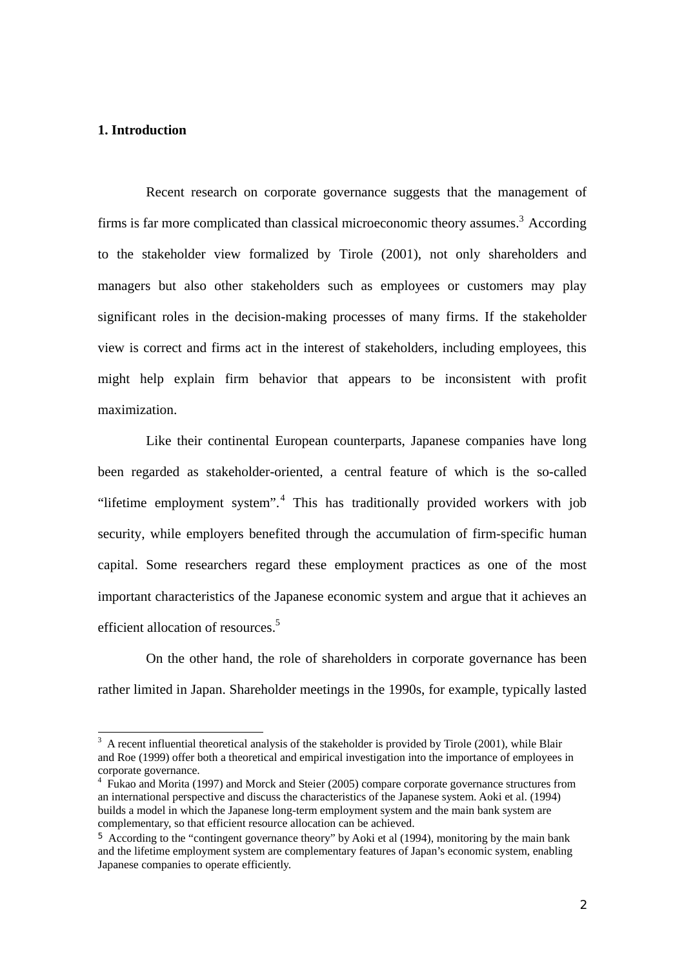## **1. Introduction**

Recent research on corporate governance suggests that the management of firms is far more complicated than classical microeconomic theory assumes.<sup>3</sup> According to the stakeholder view formalized by Tirole (2001), not only shareholders and managers but also other stakeholders such as employees or customers may play significant roles in the decision-making processes of many firms. If the stakeholder view is correct and firms act in the interest of stakeholders, including employees, this might help explain firm behavior that appears to be inconsistent with profit maximization.

Like their continental European counterparts, Japanese companies have long been regarded as stakeholder-oriented, a central feature of which is the so-called "lifetime employment system".<sup>4</sup> This has traditionally provided workers with job security, while employers benefited through the accumulation of firm-specific human capital. Some researchers regard these employment practices as one of the most important characteristics of the Japanese economic system and argue that it achieves an efficient allocation of resources.<sup>5</sup>

On the other hand, the role of shareholders in corporate governance has been rather limited in Japan. Shareholder meetings in the 1990s, for example, typically lasted

<sup>&</sup>lt;sup>3</sup> A recent influential theoretical analysis of the stakeholder is provided by Tirole (2001), while Blair and Roe (1999) offer both a theoretical and empirical investigation into the importance of employees in corporate governance.

<sup>&</sup>lt;sup>4</sup> Fukao and Morita (1997) and Morck and Steier (2005) compare corporate governance structures from an international perspective and discuss the characteristics of the Japanese system. Aoki et al. (1994) builds a model in which the Japanese long-term employment system and the main bank system are complementary, so that efficient resource allocation can be achieved.

<sup>5</sup> According to the "contingent governance theory" by Aoki et al (1994), monitoring by the main bank and the lifetime employment system are complementary features of Japan's economic system, enabling Japanese companies to operate efficiently.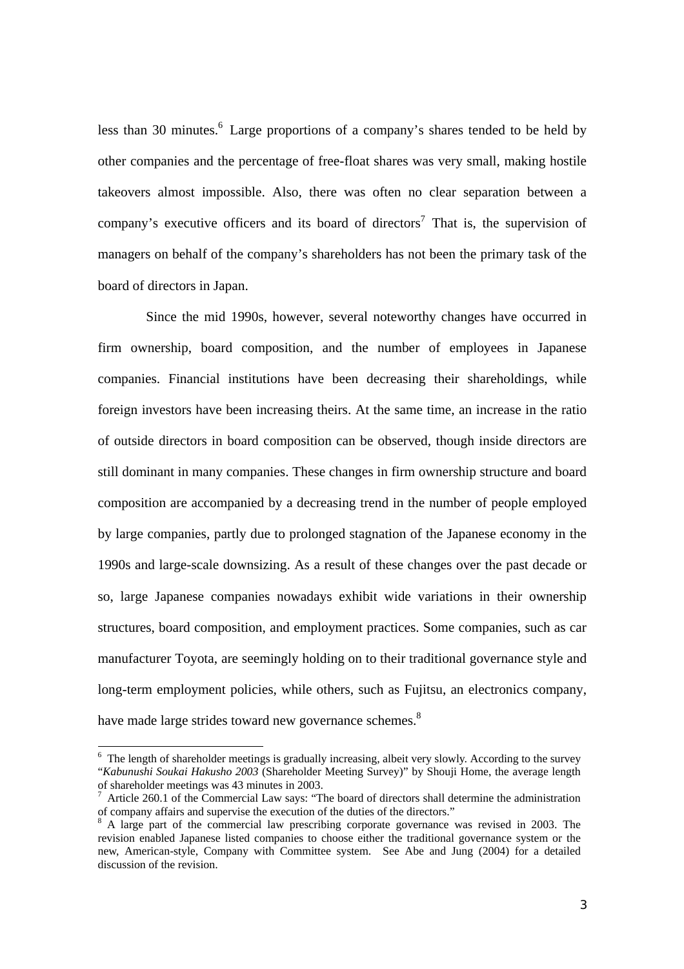less than 30 minutes.<sup>6</sup> Large proportions of a company's shares tended to be held by other companies and the percentage of free-float shares was very small, making hostile takeovers almost impossible. Also, there was often no clear separation between a company's executive officers and its board of directors<sup>7</sup> That is, the supervision of managers on behalf of the company's shareholders has not been the primary task of the board of directors in Japan.

Since the mid 1990s, however, several noteworthy changes have occurred in firm ownership, board composition, and the number of employees in Japanese companies. Financial institutions have been decreasing their shareholdings, while foreign investors have been increasing theirs. At the same time, an increase in the ratio of outside directors in board composition can be observed, though inside directors are still dominant in many companies. These changes in firm ownership structure and board composition are accompanied by a decreasing trend in the number of people employed by large companies, partly due to prolonged stagnation of the Japanese economy in the 1990s and large-scale downsizing. As a result of these changes over the past decade or so, large Japanese companies nowadays exhibit wide variations in their ownership structures, board composition, and employment practices. Some companies, such as car manufacturer Toyota, are seemingly holding on to their traditional governance style and long-term employment policies, while others, such as Fujitsu, an electronics company, have made large strides toward new governance schemes. $8$ 

<sup>&</sup>lt;sup>6</sup> The length of shareholder meetings is gradually increasing, albeit very slowly. According to the survey "*Kabunushi Soukai Hakusho 2003* (Shareholder Meeting Survey)" by Shouji Home, the average length of shareholder meetings was 43 minutes in 2003.

 $^7$  Article 260.1 of the Commercial Law says: "The board of directors shall determine the administration of company affairs and supervise the execution of the duties of the directors." 8

<sup>&</sup>lt;sup>8</sup> A large part of the commercial law prescribing corporate governance was revised in 2003. The revision enabled Japanese listed companies to choose either the traditional governance system or the new, American-style, Company with Committee system. See Abe and Jung (2004) for a detailed discussion of the revision.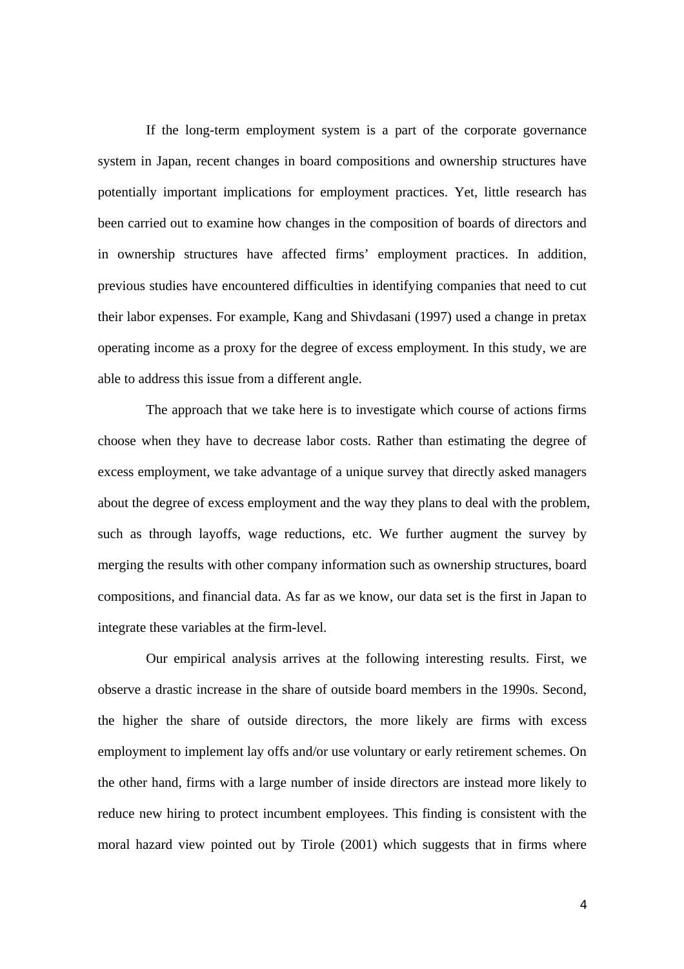If the long-term employment system is a part of the corporate governance system in Japan, recent changes in board compositions and ownership structures have potentially important implications for employment practices. Yet, little research has been carried out to examine how changes in the composition of boards of directors and in ownership structures have affected firms' employment practices. In addition, previous studies have encountered difficulties in identifying companies that need to cut their labor expenses. For example, Kang and Shivdasani (1997) used a change in pretax operating income as a proxy for the degree of excess employment. In this study, we are able to address this issue from a different angle.

The approach that we take here is to investigate which course of actions firms choose when they have to decrease labor costs. Rather than estimating the degree of excess employment, we take advantage of a unique survey that directly asked managers about the degree of excess employment and the way they plans to deal with the problem, such as through layoffs, wage reductions, etc. We further augment the survey by merging the results with other company information such as ownership structures, board compositions, and financial data. As far as we know, our data set is the first in Japan to integrate these variables at the firm-level.

 Our empirical analysis arrives at the following interesting results. First, we observe a drastic increase in the share of outside board members in the 1990s. Second, the higher the share of outside directors, the more likely are firms with excess employment to implement lay offs and/or use voluntary or early retirement schemes. On the other hand, firms with a large number of inside directors are instead more likely to reduce new hiring to protect incumbent employees. This finding is consistent with the moral hazard view pointed out by Tirole (2001) which suggests that in firms where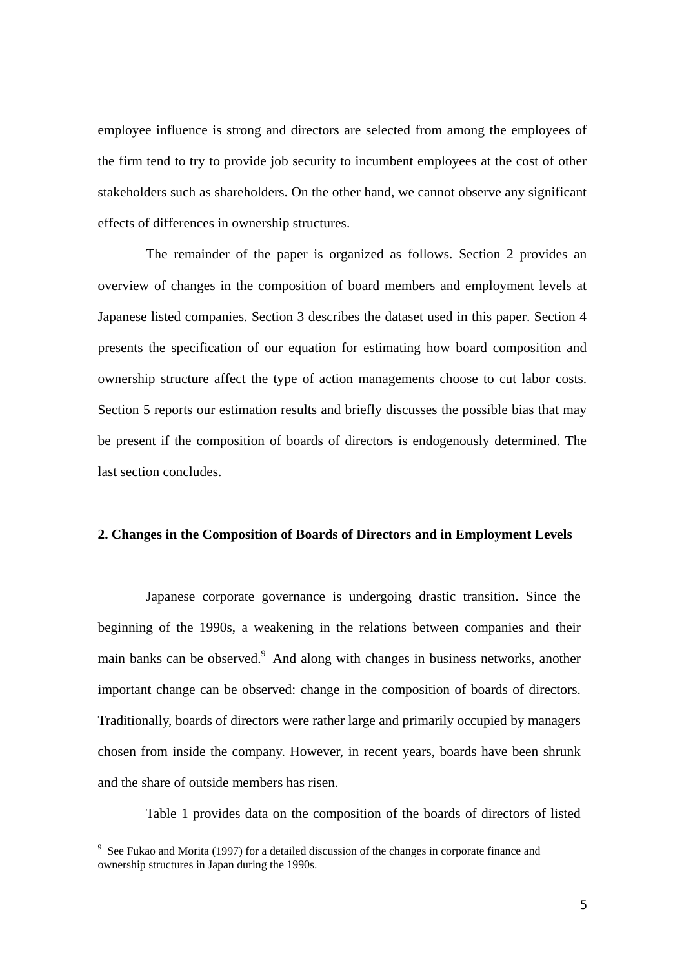employee influence is strong and directors are selected from among the employees of the firm tend to try to provide job security to incumbent employees at the cost of other stakeholders such as shareholders. On the other hand, we cannot observe any significant effects of differences in ownership structures.

The remainder of the paper is organized as follows. Section 2 provides an overview of changes in the composition of board members and employment levels at Japanese listed companies. Section 3 describes the dataset used in this paper. Section 4 presents the specification of our equation for estimating how board composition and ownership structure affect the type of action managements choose to cut labor costs. Section 5 reports our estimation results and briefly discusses the possible bias that may be present if the composition of boards of directors is endogenously determined. The last section concludes.

### **2. Changes in the Composition of Boards of Directors and in Employment Levels**

Japanese corporate governance is undergoing drastic transition. Since the beginning of the 1990s, a weakening in the relations between companies and their main banks can be observed.<sup>9</sup> And along with changes in business networks, another important change can be observed: change in the composition of boards of directors. Traditionally, boards of directors were rather large and primarily occupied by managers chosen from inside the company. However, in recent years, boards have been shrunk and the share of outside members has risen.

Table 1 provides data on the composition of the boards of directors of listed

<sup>&</sup>lt;sup>9</sup> See Fukao and Morita (1997) for a detailed discussion of the changes in corporate finance and ownership structures in Japan during the 1990s.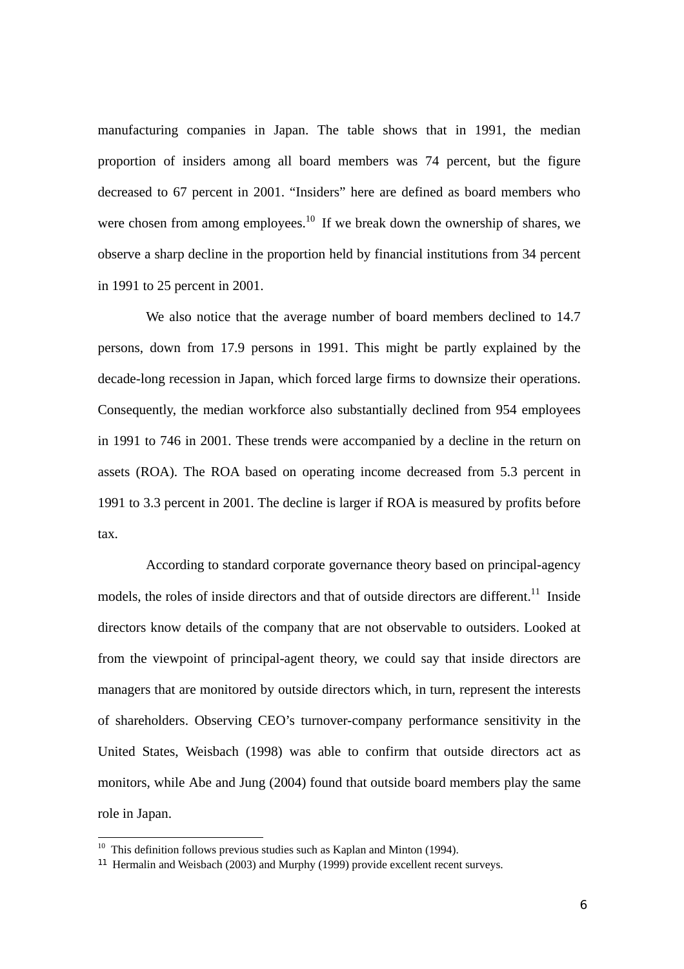manufacturing companies in Japan. The table shows that in 1991, the median proportion of insiders among all board members was 74 percent, but the figure decreased to 67 percent in 2001. "Insiders" here are defined as board members who were chosen from among employees.<sup>10</sup> If we break down the ownership of shares, we observe a sharp decline in the proportion held by financial institutions from 34 percent in 1991 to 25 percent in 2001.

 We also notice that the average number of board members declined to 14.7 persons, down from 17.9 persons in 1991. This might be partly explained by the decade-long recession in Japan, which forced large firms to downsize their operations. Consequently, the median workforce also substantially declined from 954 employees in 1991 to 746 in 2001. These trends were accompanied by a decline in the return on assets (ROA). The ROA based on operating income decreased from 5.3 percent in 1991 to 3.3 percent in 2001. The decline is larger if ROA is measured by profits before tax.

 According to standard corporate governance theory based on principal-agency models, the roles of inside directors and that of outside directors are different.<sup>11</sup> Inside directors know details of the company that are not observable to outsiders. Looked at from the viewpoint of principal-agent theory, we could say that inside directors are managers that are monitored by outside directors which, in turn, represent the interests of shareholders. Observing CEO's turnover-company performance sensitivity in the United States, Weisbach (1998) was able to confirm that outside directors act as monitors, while Abe and Jung (2004) found that outside board members play the same role in Japan.

 $10$  This definition follows previous studies such as Kaplan and Minton (1994).

<sup>11</sup> Hermalin and Weisbach (2003) and Murphy (1999) provide excellent recent surveys.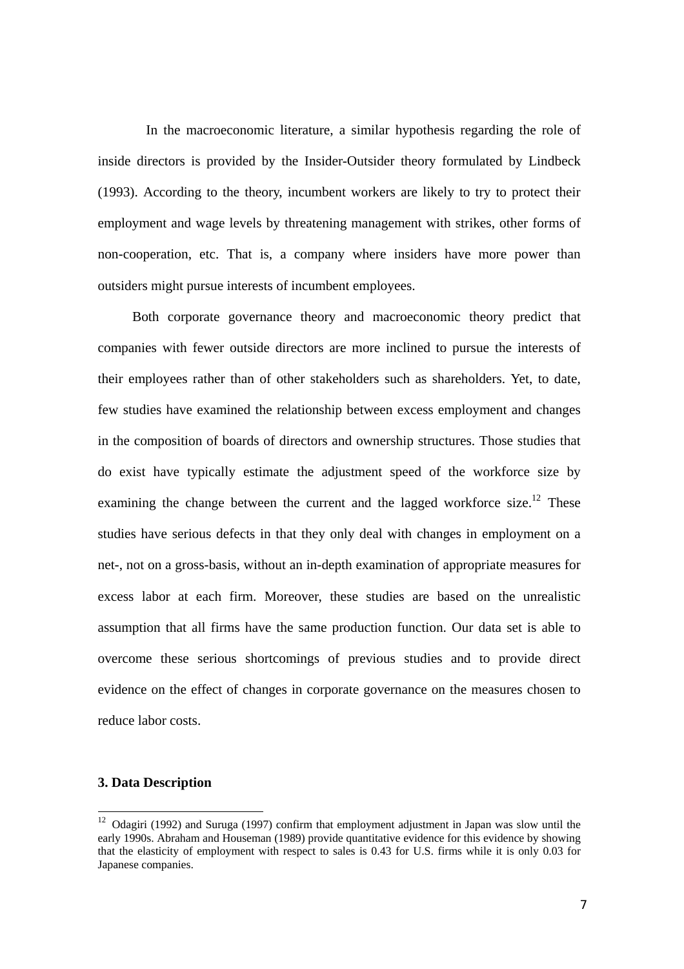In the macroeconomic literature, a similar hypothesis regarding the role of inside directors is provided by the Insider-Outsider theory formulated by Lindbeck (1993). According to the theory, incumbent workers are likely to try to protect their employment and wage levels by threatening management with strikes, other forms of non-cooperation, etc. That is, a company where insiders have more power than outsiders might pursue interests of incumbent employees.

 Both corporate governance theory and macroeconomic theory predict that companies with fewer outside directors are more inclined to pursue the interests of their employees rather than of other stakeholders such as shareholders. Yet, to date, few studies have examined the relationship between excess employment and changes in the composition of boards of directors and ownership structures. Those studies that do exist have typically estimate the adjustment speed of the workforce size by examining the change between the current and the lagged workforce size.<sup>12</sup> These studies have serious defects in that they only deal with changes in employment on a net-, not on a gross-basis, without an in-depth examination of appropriate measures for excess labor at each firm. Moreover, these studies are based on the unrealistic assumption that all firms have the same production function. Our data set is able to overcome these serious shortcomings of previous studies and to provide direct evidence on the effect of changes in corporate governance on the measures chosen to reduce labor costs.

#### **3. Data Description**

<sup>&</sup>lt;sup>12</sup> Odagiri (1992) and Suruga (1997) confirm that employment adjustment in Japan was slow until the early 1990s. Abraham and Houseman (1989) provide quantitative evidence for this evidence by showing that the elasticity of employment with respect to sales is 0.43 for U.S. firms while it is only 0.03 for Japanese companies.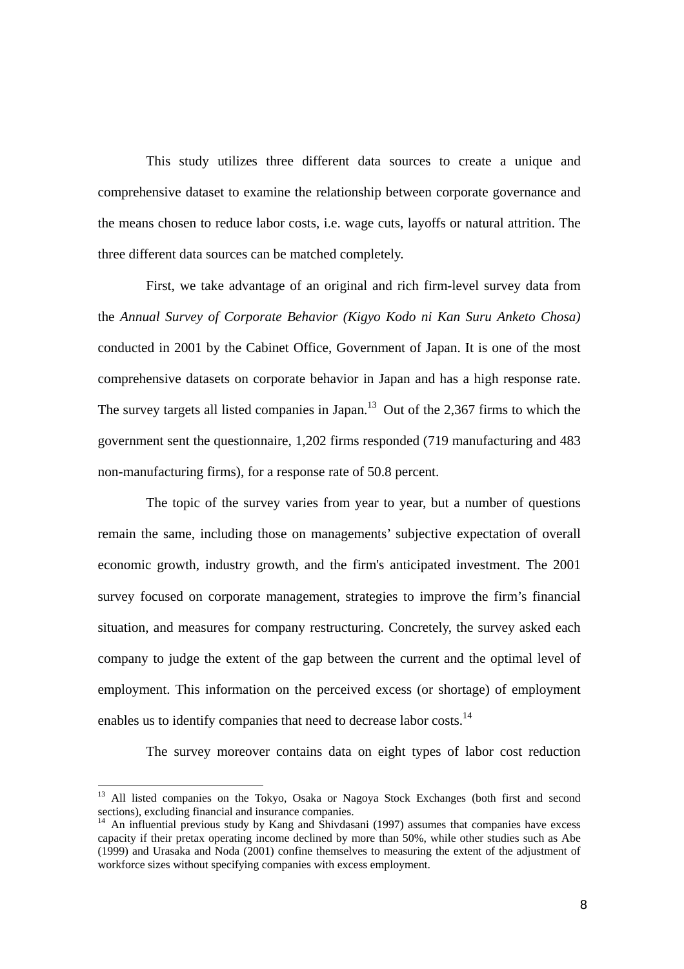This study utilizes three different data sources to create a unique and comprehensive dataset to examine the relationship between corporate governance and the means chosen to reduce labor costs, i.e. wage cuts, layoffs or natural attrition. The three different data sources can be matched completely.

First, we take advantage of an original and rich firm-level survey data from the *Annual Survey of Corporate Behavior (Kigyo Kodo ni Kan Suru Anketo Chosa)* conducted in 2001 by the Cabinet Office, Government of Japan. It is one of the most comprehensive datasets on corporate behavior in Japan and has a high response rate. The survey targets all listed companies in Japan.<sup>13</sup> Out of the 2,367 firms to which the government sent the questionnaire, 1,202 firms responded (719 manufacturing and 483 non-manufacturing firms), for a response rate of 50.8 percent.

The topic of the survey varies from year to year, but a number of questions remain the same, including those on managements' subjective expectation of overall economic growth, industry growth, and the firm's anticipated investment. The 2001 survey focused on corporate management, strategies to improve the firm's financial situation, and measures for company restructuring. Concretely, the survey asked each company to judge the extent of the gap between the current and the optimal level of employment. This information on the perceived excess (or shortage) of employment enables us to identify companies that need to decrease labor costs.<sup>14</sup>

The survey moreover contains data on eight types of labor cost reduction

<sup>&</sup>lt;sup>13</sup> All listed companies on the Tokyo, Osaka or Nagoya Stock Exchanges (both first and second sections), excluding financial and insurance companies.

<sup>&</sup>lt;sup>14</sup> An influential previous study by Kang and Shivdasani (1997) assumes that companies have excess capacity if their pretax operating income declined by more than 50%, while other studies such as Abe (1999) and Urasaka and Noda (2001) confine themselves to measuring the extent of the adjustment of workforce sizes without specifying companies with excess employment.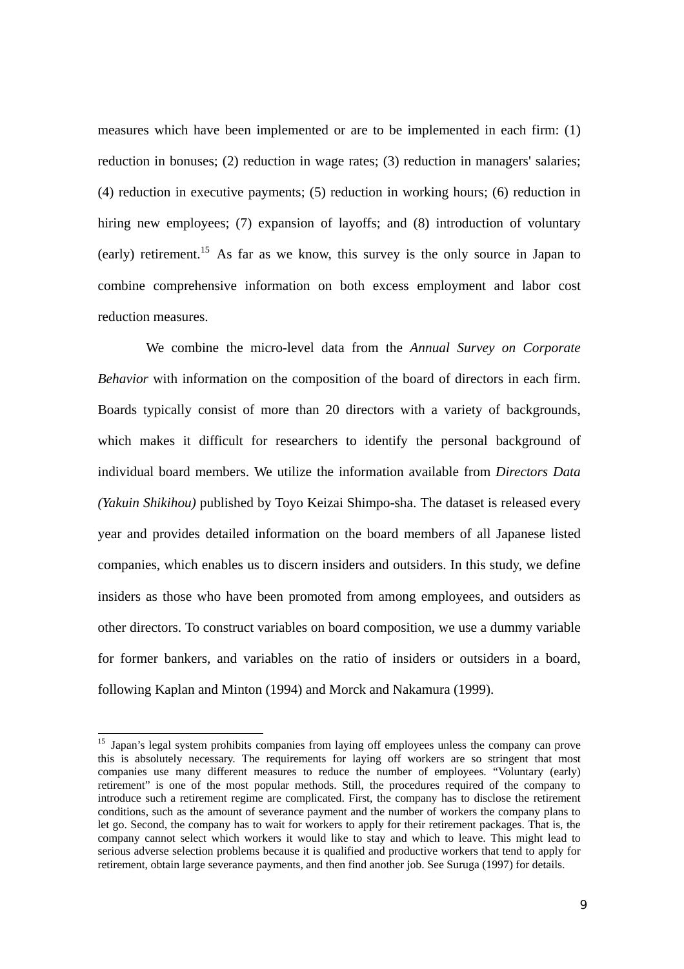measures which have been implemented or are to be implemented in each firm: (1) reduction in bonuses; (2) reduction in wage rates; (3) reduction in managers' salaries; (4) reduction in executive payments; (5) reduction in working hours; (6) reduction in hiring new employees; (7) expansion of layoffs; and (8) introduction of voluntary (early) retirement.15 As far as we know, this survey is the only source in Japan to combine comprehensive information on both excess employment and labor cost reduction measures.

We combine the micro-level data from the *Annual Survey on Corporate Behavior* with information on the composition of the board of directors in each firm. Boards typically consist of more than 20 directors with a variety of backgrounds, which makes it difficult for researchers to identify the personal background of individual board members. We utilize the information available from *Directors Data (Yakuin Shikihou)* published by Toyo Keizai Shimpo-sha. The dataset is released every year and provides detailed information on the board members of all Japanese listed companies, which enables us to discern insiders and outsiders. In this study, we define insiders as those who have been promoted from among employees, and outsiders as other directors. To construct variables on board composition, we use a dummy variable for former bankers, and variables on the ratio of insiders or outsiders in a board, following Kaplan and Minton (1994) and Morck and Nakamura (1999).

<sup>&</sup>lt;sup>15</sup> Japan's legal system prohibits companies from laying off employees unless the company can prove this is absolutely necessary. The requirements for laying off workers are so stringent that most companies use many different measures to reduce the number of employees. "Voluntary (early) retirement" is one of the most popular methods. Still, the procedures required of the company to introduce such a retirement regime are complicated. First, the company has to disclose the retirement conditions, such as the amount of severance payment and the number of workers the company plans to let go. Second, the company has to wait for workers to apply for their retirement packages. That is, the company cannot select which workers it would like to stay and which to leave. This might lead to serious adverse selection problems because it is qualified and productive workers that tend to apply for retirement, obtain large severance payments, and then find another job. See Suruga (1997) for details.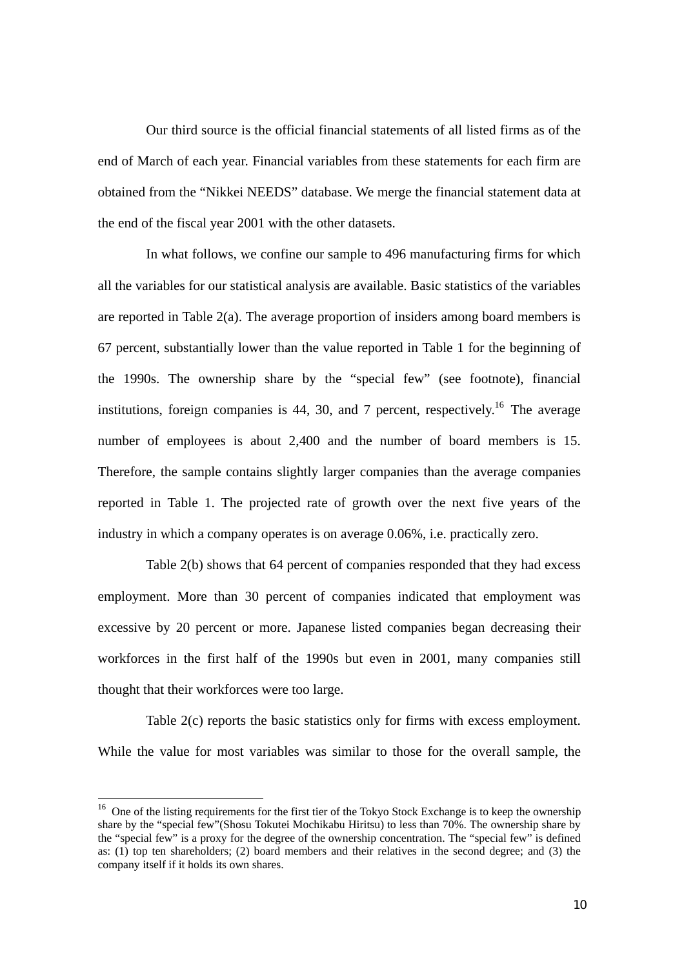Our third source is the official financial statements of all listed firms as of the end of March of each year. Financial variables from these statements for each firm are obtained from the "Nikkei NEEDS" database. We merge the financial statement data at the end of the fiscal year 2001 with the other datasets.

In what follows, we confine our sample to 496 manufacturing firms for which all the variables for our statistical analysis are available. Basic statistics of the variables are reported in Table 2(a). The average proportion of insiders among board members is 67 percent, substantially lower than the value reported in Table 1 for the beginning of the 1990s. The ownership share by the "special few" (see footnote), financial institutions, foreign companies is 44, 30, and 7 percent, respectively.<sup>16</sup> The average number of employees is about 2,400 and the number of board members is 15. Therefore, the sample contains slightly larger companies than the average companies reported in Table 1. The projected rate of growth over the next five years of the industry in which a company operates is on average 0.06%, i.e. practically zero.

Table 2(b) shows that 64 percent of companies responded that they had excess employment. More than 30 percent of companies indicated that employment was excessive by 20 percent or more. Japanese listed companies began decreasing their workforces in the first half of the 1990s but even in 2001, many companies still thought that their workforces were too large.

Table 2(c) reports the basic statistics only for firms with excess employment. While the value for most variables was similar to those for the overall sample, the

<sup>&</sup>lt;sup>16</sup> One of the listing requirements for the first tier of the Tokyo Stock Exchange is to keep the ownership share by the "special few"(Shosu Tokutei Mochikabu Hiritsu) to less than 70%. The ownership share by the "special few" is a proxy for the degree of the ownership concentration. The "special few" is defined as: (1) top ten shareholders; (2) board members and their relatives in the second degree; and (3) the company itself if it holds its own shares.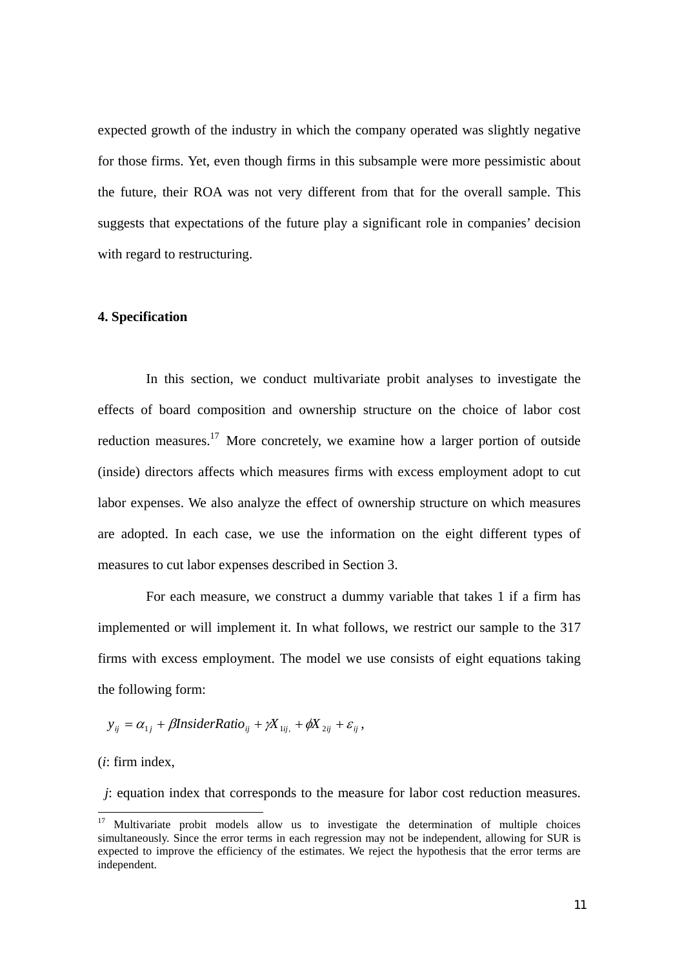expected growth of the industry in which the company operated was slightly negative for those firms. Yet, even though firms in this subsample were more pessimistic about the future, their ROA was not very different from that for the overall sample. This suggests that expectations of the future play a significant role in companies' decision with regard to restructuring.

#### **4. Specification**

 In this section, we conduct multivariate probit analyses to investigate the effects of board composition and ownership structure on the choice of labor cost reduction measures.<sup>17</sup> More concretely, we examine how a larger portion of outside (inside) directors affects which measures firms with excess employment adopt to cut labor expenses. We also analyze the effect of ownership structure on which measures are adopted. In each case, we use the information on the eight different types of measures to cut labor expenses described in Section 3.

 For each measure, we construct a dummy variable that takes 1 if a firm has implemented or will implement it. In what follows, we restrict our sample to the 317 firms with excess employment. The model we use consists of eight equations taking the following form:

 $y_{ii} = \alpha_{1i} + \beta$ *InsiderRatio*<sub>ii</sub> +  $\gamma X_{1ii} + \phi X_{2ii} + \varepsilon_{ii}$ ,

(*i*: firm index,

 $\overline{a}$ 

*j*: equation index that corresponds to the measure for labor cost reduction measures.

<sup>&</sup>lt;sup>17</sup> Multivariate probit models allow us to investigate the determination of multiple choices simultaneously. Since the error terms in each regression may not be independent, allowing for SUR is expected to improve the efficiency of the estimates. We reject the hypothesis that the error terms are independent.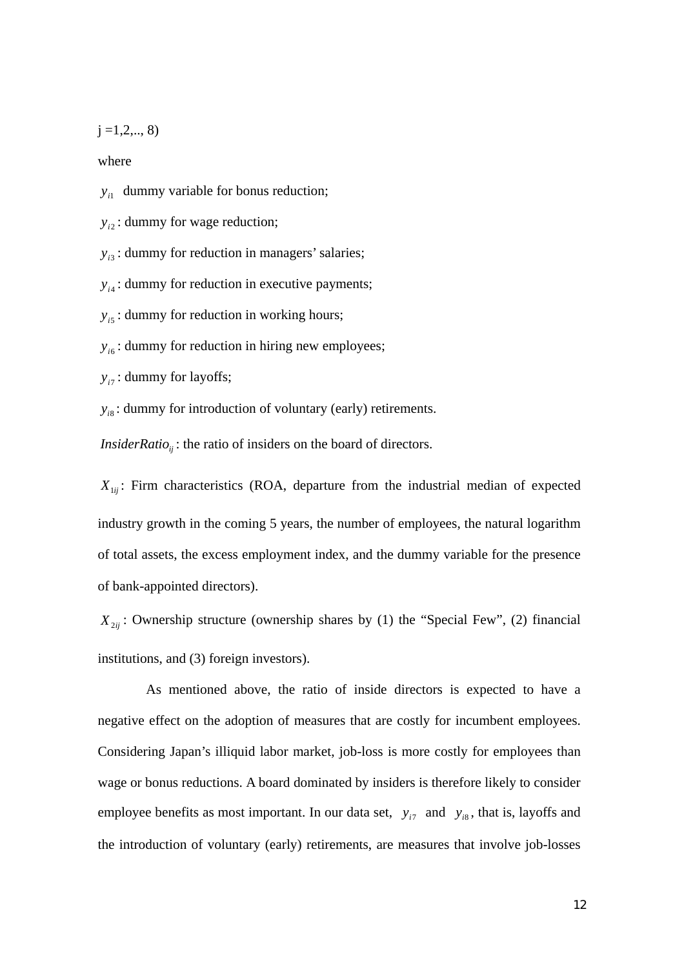$j = 1, 2, \ldots, 8$ 

where

 $y_{i1}$  dummy variable for bonus reduction;

 $y_i$ : dummy for wage reduction;

 $y_{i3}$ : dummy for reduction in managers' salaries;

 $y_{i4}$ : dummy for reduction in executive payments;

 $y_{i5}$ : dummy for reduction in working hours;

 $y_{i6}$ : dummy for reduction in hiring new employees;

 $y_{i7}$ : dummy for layoffs;

 $y_{i8}$ : dummy for introduction of voluntary (early) retirements.

*InsiderRatio*<sub>ii</sub>: the ratio of insiders on the board of directors.

 $X_{1ii}$ : Firm characteristics (ROA, departure from the industrial median of expected industry growth in the coming 5 years, the number of employees, the natural logarithm of total assets, the excess employment index, and the dummy variable for the presence of bank-appointed directors).

 $X_{2ii}$ : Ownership structure (ownership shares by (1) the "Special Few", (2) financial institutions, and (3) foreign investors).

 As mentioned above, the ratio of inside directors is expected to have a negative effect on the adoption of measures that are costly for incumbent employees. Considering Japan's illiquid labor market, job-loss is more costly for employees than wage or bonus reductions. A board dominated by insiders is therefore likely to consider employee benefits as most important. In our data set,  $y_{i7}$  and  $y_{i8}$ , that is, layoffs and the introduction of voluntary (early) retirements, are measures that involve job-losses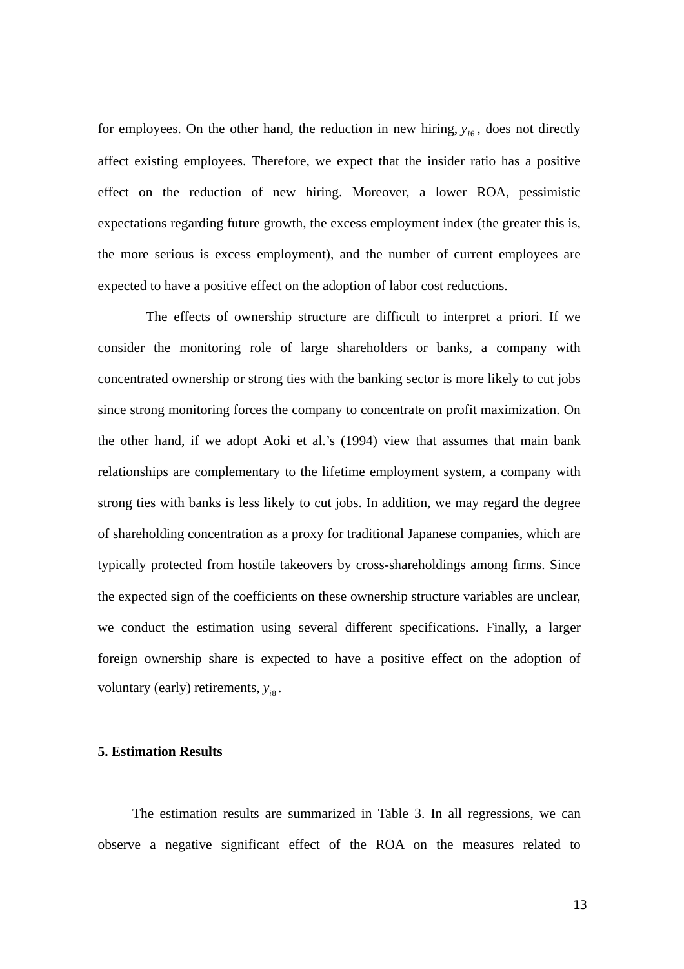for employees. On the other hand, the reduction in new hiring,  $y_{i6}$ , does not directly affect existing employees. Therefore, we expect that the insider ratio has a positive effect on the reduction of new hiring. Moreover, a lower ROA, pessimistic expectations regarding future growth, the excess employment index (the greater this is, the more serious is excess employment), and the number of current employees are expected to have a positive effect on the adoption of labor cost reductions.

 The effects of ownership structure are difficult to interpret a priori. If we consider the monitoring role of large shareholders or banks, a company with concentrated ownership or strong ties with the banking sector is more likely to cut jobs since strong monitoring forces the company to concentrate on profit maximization. On the other hand, if we adopt Aoki et al.'s (1994) view that assumes that main bank relationships are complementary to the lifetime employment system, a company with strong ties with banks is less likely to cut jobs. In addition, we may regard the degree of shareholding concentration as a proxy for traditional Japanese companies, which are typically protected from hostile takeovers by cross-shareholdings among firms. Since the expected sign of the coefficients on these ownership structure variables are unclear, we conduct the estimation using several different specifications. Finally, a larger foreign ownership share is expected to have a positive effect on the adoption of voluntary (early) retirements,  $y_{i8}$ .

## **5. Estimation Results**

 The estimation results are summarized in Table 3. In all regressions, we can observe a negative significant effect of the ROA on the measures related to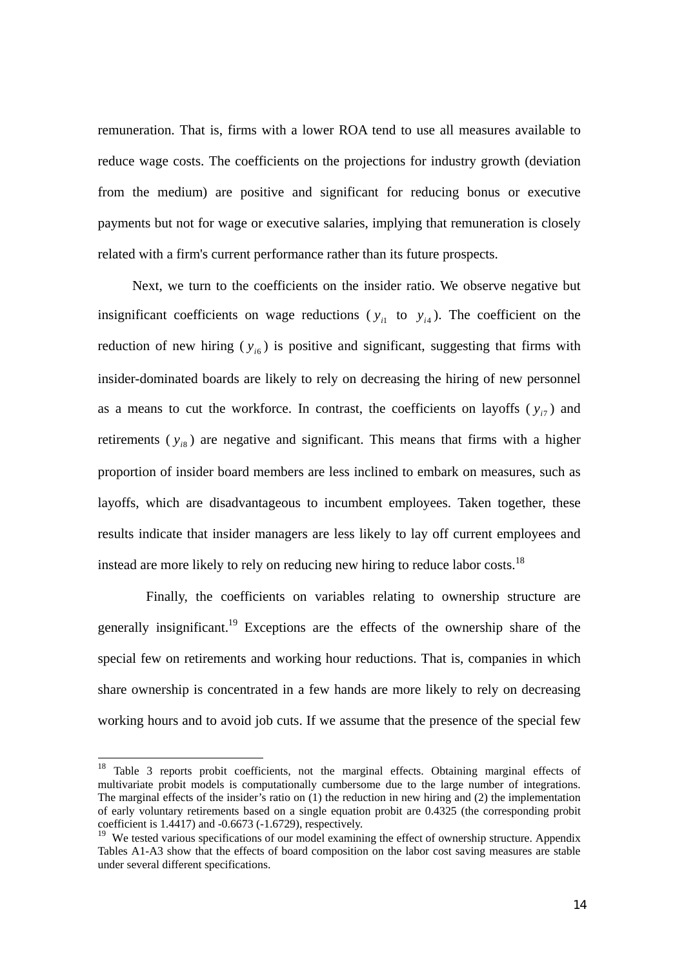remuneration. That is, firms with a lower ROA tend to use all measures available to reduce wage costs. The coefficients on the projections for industry growth (deviation from the medium) are positive and significant for reducing bonus or executive payments but not for wage or executive salaries, implying that remuneration is closely related with a firm's current performance rather than its future prospects.

 Next, we turn to the coefficients on the insider ratio. We observe negative but insignificant coefficients on wage reductions ( $y_{i1}$  to  $y_{i4}$ ). The coefficient on the reduction of new hiring  $(y_{i6})$  is positive and significant, suggesting that firms with insider-dominated boards are likely to rely on decreasing the hiring of new personnel as a means to cut the workforce. In contrast, the coefficients on layoffs ( $y_{77}$ ) and retirements  $(y_{i8})$  are negative and significant. This means that firms with a higher proportion of insider board members are less inclined to embark on measures, such as layoffs, which are disadvantageous to incumbent employees. Taken together, these results indicate that insider managers are less likely to lay off current employees and instead are more likely to rely on reducing new hiring to reduce labor costs.<sup>18</sup>

 Finally, the coefficients on variables relating to ownership structure are generally insignificant.<sup>19</sup> Exceptions are the effects of the ownership share of the special few on retirements and working hour reductions. That is, companies in which share ownership is concentrated in a few hands are more likely to rely on decreasing working hours and to avoid job cuts. If we assume that the presence of the special few

<sup>&</sup>lt;sup>18</sup> Table 3 reports probit coefficients, not the marginal effects. Obtaining marginal effects of multivariate probit models is computationally cumbersome due to the large number of integrations. The marginal effects of the insider's ratio on (1) the reduction in new hiring and (2) the implementation of early voluntary retirements based on a single equation probit are 0.4325 (the corresponding probit coefficient is 1.4417) and -0.6673 (-1.6729), respectively.

<sup>&</sup>lt;sup>19</sup> We tested various specifications of our model examining the effect of ownership structure. Appendix Tables A1-A3 show that the effects of board composition on the labor cost saving measures are stable under several different specifications.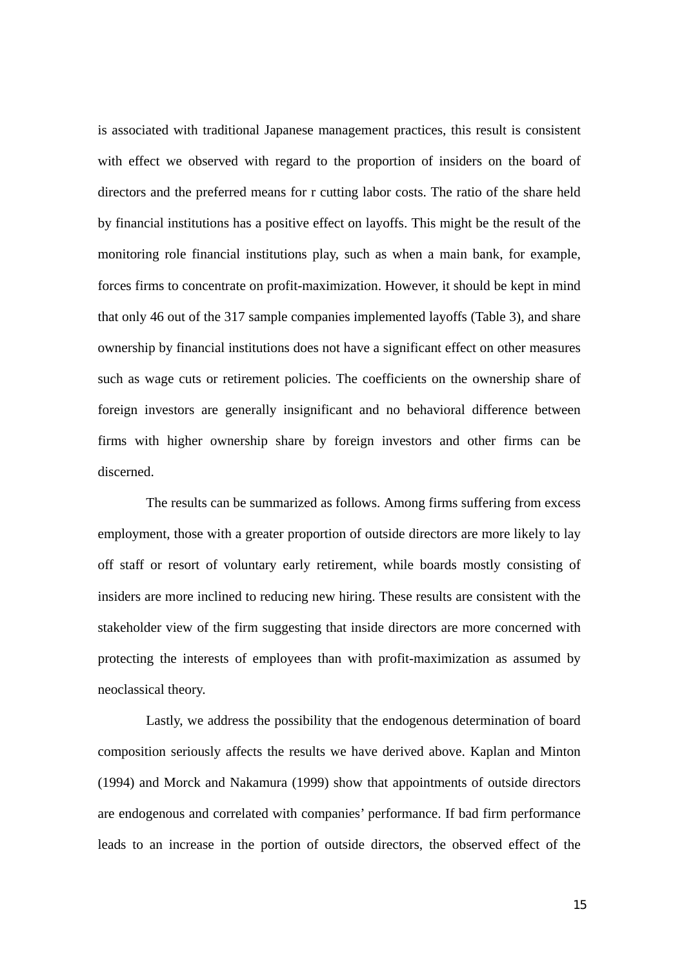is associated with traditional Japanese management practices, this result is consistent with effect we observed with regard to the proportion of insiders on the board of directors and the preferred means for r cutting labor costs. The ratio of the share held by financial institutions has a positive effect on layoffs. This might be the result of the monitoring role financial institutions play, such as when a main bank, for example, forces firms to concentrate on profit-maximization. However, it should be kept in mind that only 46 out of the 317 sample companies implemented layoffs (Table 3), and share ownership by financial institutions does not have a significant effect on other measures such as wage cuts or retirement policies. The coefficients on the ownership share of foreign investors are generally insignificant and no behavioral difference between firms with higher ownership share by foreign investors and other firms can be discerned.

 The results can be summarized as follows. Among firms suffering from excess employment, those with a greater proportion of outside directors are more likely to lay off staff or resort of voluntary early retirement, while boards mostly consisting of insiders are more inclined to reducing new hiring. These results are consistent with the stakeholder view of the firm suggesting that inside directors are more concerned with protecting the interests of employees than with profit-maximization as assumed by neoclassical theory.

 Lastly, we address the possibility that the endogenous determination of board composition seriously affects the results we have derived above. Kaplan and Minton (1994) and Morck and Nakamura (1999) show that appointments of outside directors are endogenous and correlated with companies' performance. If bad firm performance leads to an increase in the portion of outside directors, the observed effect of the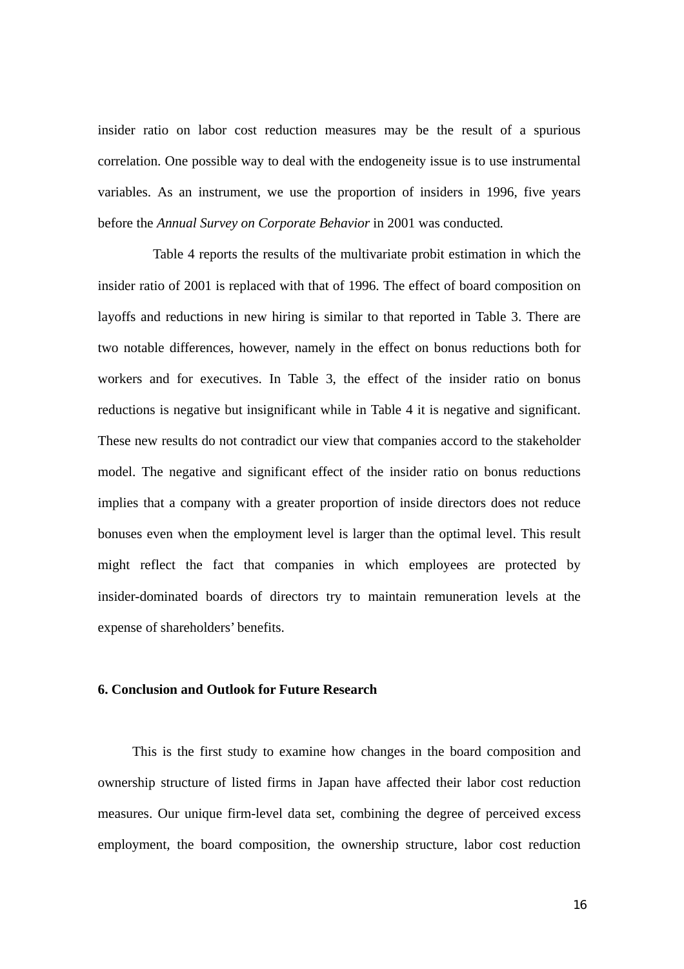insider ratio on labor cost reduction measures may be the result of a spurious correlation. One possible way to deal with the endogeneity issue is to use instrumental variables. As an instrument, we use the proportion of insiders in 1996, five years before the *Annual Survey on Corporate Behavior* in 2001 was conducted*.*

Table 4 reports the results of the multivariate probit estimation in which the insider ratio of 2001 is replaced with that of 1996. The effect of board composition on layoffs and reductions in new hiring is similar to that reported in Table 3. There are two notable differences, however, namely in the effect on bonus reductions both for workers and for executives. In Table 3, the effect of the insider ratio on bonus reductions is negative but insignificant while in Table 4 it is negative and significant. These new results do not contradict our view that companies accord to the stakeholder model. The negative and significant effect of the insider ratio on bonus reductions implies that a company with a greater proportion of inside directors does not reduce bonuses even when the employment level is larger than the optimal level. This result might reflect the fact that companies in which employees are protected by insider-dominated boards of directors try to maintain remuneration levels at the expense of shareholders' benefits.

## **6. Conclusion and Outlook for Future Research**

This is the first study to examine how changes in the board composition and ownership structure of listed firms in Japan have affected their labor cost reduction measures. Our unique firm-level data set, combining the degree of perceived excess employment, the board composition, the ownership structure, labor cost reduction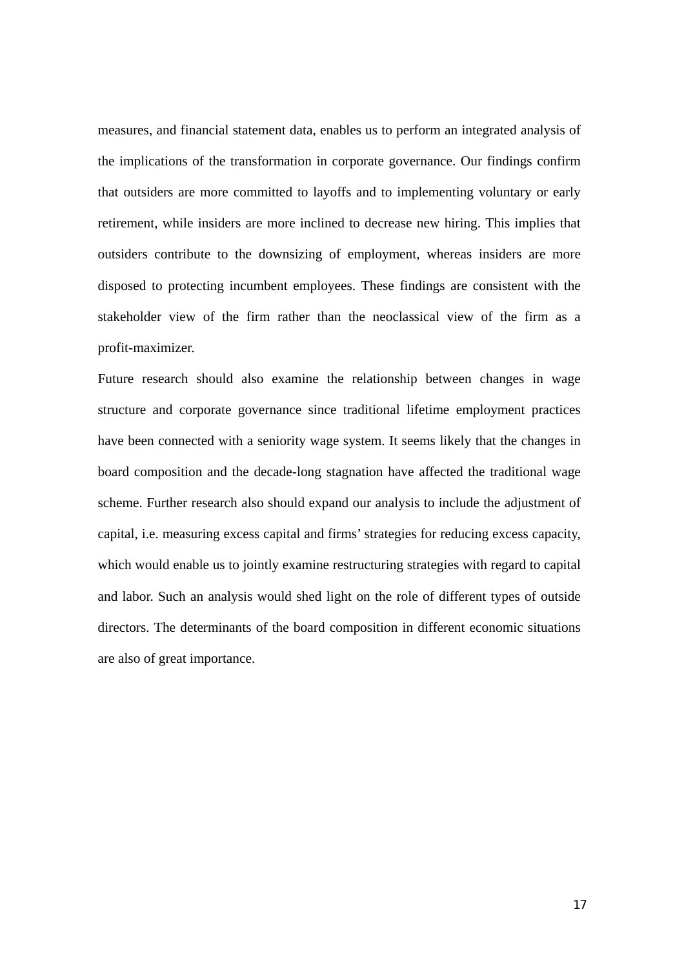measures, and financial statement data, enables us to perform an integrated analysis of the implications of the transformation in corporate governance. Our findings confirm that outsiders are more committed to layoffs and to implementing voluntary or early retirement, while insiders are more inclined to decrease new hiring. This implies that outsiders contribute to the downsizing of employment, whereas insiders are more disposed to protecting incumbent employees. These findings are consistent with the stakeholder view of the firm rather than the neoclassical view of the firm as a profit-maximizer.

Future research should also examine the relationship between changes in wage structure and corporate governance since traditional lifetime employment practices have been connected with a seniority wage system. It seems likely that the changes in board composition and the decade-long stagnation have affected the traditional wage scheme. Further research also should expand our analysis to include the adjustment of capital, i.e. measuring excess capital and firms' strategies for reducing excess capacity, which would enable us to jointly examine restructuring strategies with regard to capital and labor. Such an analysis would shed light on the role of different types of outside directors. The determinants of the board composition in different economic situations are also of great importance.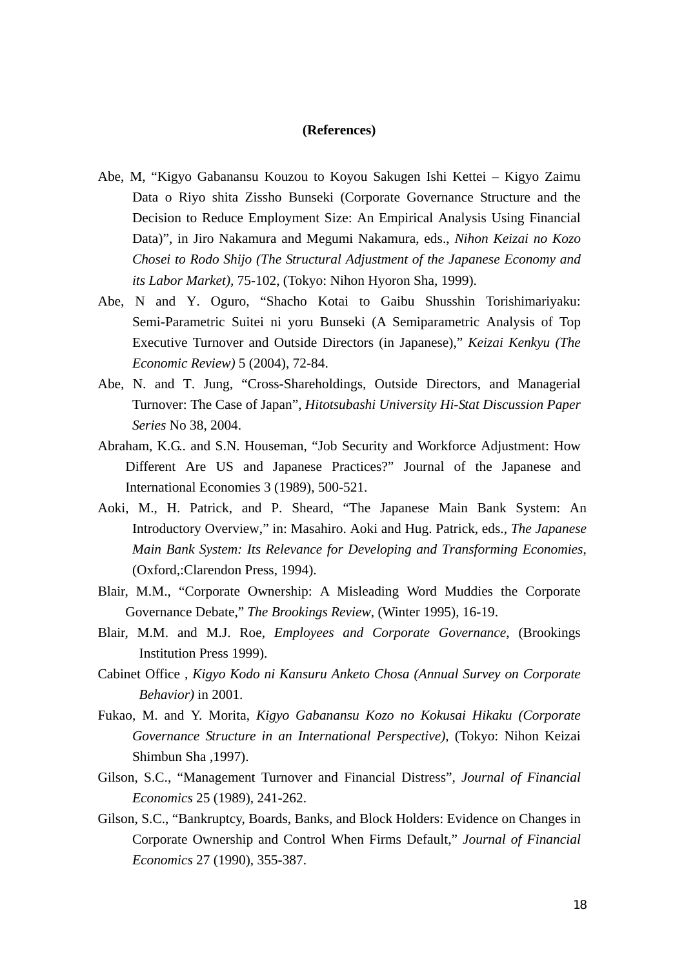### **(References)**

- Abe, M, "Kigyo Gabanansu Kouzou to Koyou Sakugen Ishi Kettei Kigyo Zaimu Data o Riyo shita Zissho Bunseki (Corporate Governance Structure and the Decision to Reduce Employment Size: An Empirical Analysis Using Financial Data)", in Jiro Nakamura and Megumi Nakamura, eds., *Nihon Keizai no Kozo Chosei to Rodo Shijo (The Structural Adjustment of the Japanese Economy and its Labor Market),* 75-102, (Tokyo: Nihon Hyoron Sha, 1999).
- Abe, N and Y. Oguro, "Shacho Kotai to Gaibu Shusshin Torishimariyaku: Semi-Parametric Suitei ni yoru Bunseki (A Semiparametric Analysis of Top Executive Turnover and Outside Directors (in Japanese)," *Keizai Kenkyu (The Economic Review)* 5 (2004), 72-84.
- Abe, N. and T. Jung, "Cross-Shareholdings, Outside Directors, and Managerial Turnover: The Case of Japan", *Hitotsubashi University Hi-Stat Discussion Paper Series* No 38, 2004.
- Abraham, K.G.. and S.N. Houseman, "Job Security and Workforce Adjustment: How Different Are US and Japanese Practices?" Journal of the Japanese and International Economies 3 (1989), 500-521.
- Aoki, M., H. Patrick, and P. Sheard, "The Japanese Main Bank System: An Introductory Overview," in: Masahiro. Aoki and Hug. Patrick, eds., *The Japanese Main Bank System: Its Relevance for Developing and Transforming Economies*, (Oxford,:Clarendon Press, 1994).
- Blair, M.M., "Corporate Ownership: A Misleading Word Muddies the Corporate Governance Debate," *The Brookings Review*, (Winter 1995), 16-19.
- Blair, M.M. and M.J. Roe, *Employees and Corporate Governance*, (Brookings Institution Press 1999).
- Cabinet Office , *Kigyo Kodo ni Kansuru Anketo Chosa (Annual Survey on Corporate Behavior)* in 2001.
- Fukao, M. and Y. Morita, *Kigyo Gabanansu Kozo no Kokusai Hikaku (Corporate Governance Structure in an International Perspective)*, (Tokyo: Nihon Keizai Shimbun Sha ,1997).
- Gilson, S.C., "Management Turnover and Financial Distress"*, Journal of Financial Economics* 25 (1989), 241-262.
- Gilson, S.C., "Bankruptcy, Boards, Banks, and Block Holders: Evidence on Changes in Corporate Ownership and Control When Firms Default," *Journal of Financial Economics* 27 (1990), 355-387.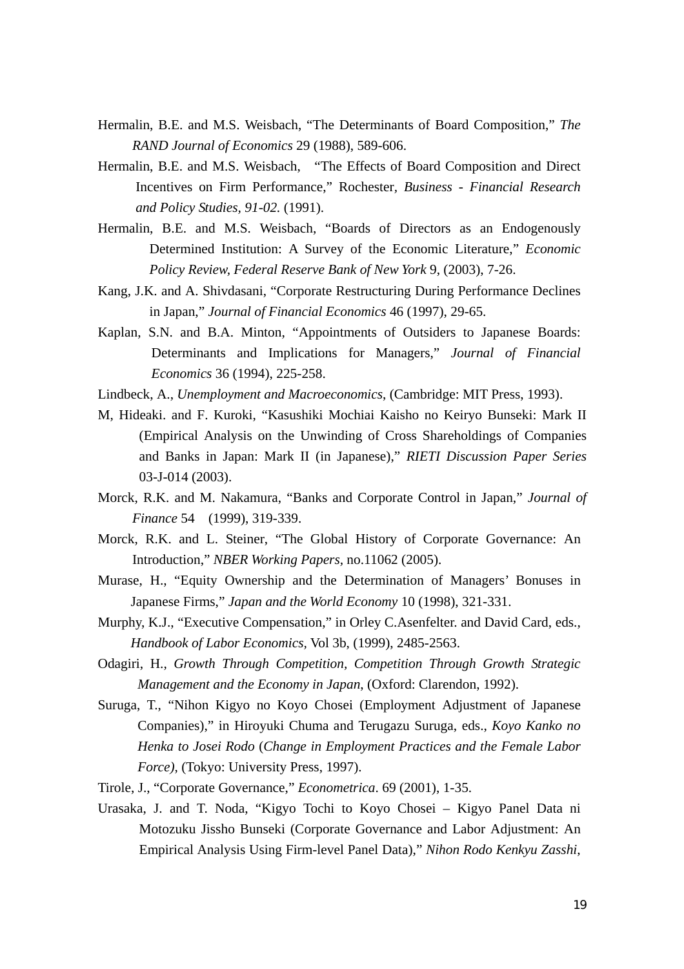- Hermalin, B.E. and M.S. Weisbach, "The Determinants of Board Composition," *The RAND Journal of Economics* 29 (1988), 589-606.
- Hermalin, B.E. and M.S. Weisbach, "The Effects of Board Composition and Direct Incentives on Firm Performance," Rochester*, Business - Financial Research and Policy Studies, 91-02.* (1991).
- Hermalin, B.E. and M.S. Weisbach, "Boards of Directors as an Endogenously Determined Institution: A Survey of the Economic Literature," *Economic Policy Review, Federal Reserve Bank of New York* 9, (2003), 7-26.
- Kang, J.K. and A. Shivdasani, "Corporate Restructuring During Performance Declines in Japan," *Journal of Financial Economics* 46 (1997), 29-65.
- Kaplan, S.N. and B.A. Minton, "Appointments of Outsiders to Japanese Boards: Determinants and Implications for Managers," *Journal of Financial Economics* 36 (1994), 225-258.
- Lindbeck, A., *Unemployment and Macroeconomics*, (Cambridge: MIT Press, 1993).
- M, Hideaki. and F. Kuroki, "Kasushiki Mochiai Kaisho no Keiryo Bunseki: Mark II (Empirical Analysis on the Unwinding of Cross Shareholdings of Companies and Banks in Japan: Mark II (in Japanese)," *RIETI Discussion Paper Series* 03-J-014 (2003).
- Morck, R.K. and M. Nakamura, "Banks and Corporate Control in Japan," *Journal of Finance* 54 (1999), 319-339.
- Morck, R.K. and L. Steiner, "The Global History of Corporate Governance: An Introduction," *NBER Working Papers,* no.11062 (2005).
- Murase, H., "Equity Ownership and the Determination of Managers' Bonuses in Japanese Firms," *Japan and the World Economy* 10 (1998), 321-331.
- Murphy, K.J., "Executive Compensation," in Orley C.Asenfelter. and David Card, eds., *Handbook of Labor Economics,* Vol 3b, (1999), 2485-2563.
- Odagiri, H., *Growth Through Competition, Competition Through Growth Strategic Management and the Economy in Japan*, (Oxford: Clarendon, 1992).
- Suruga, T., "Nihon Kigyo no Koyo Chosei (Employment Adjustment of Japanese Companies)," in Hiroyuki Chuma and Terugazu Suruga, eds., *Koyo Kanko no Henka to Josei Rodo* (*Change in Employment Practices and the Female Labor Force)*, (Tokyo: University Press, 1997).
- Tirole, J., "Corporate Governance," *Econometrica*. 69 (2001), 1-35.
- Urasaka, J. and T. Noda, "Kigyo Tochi to Koyo Chosei Kigyo Panel Data ni Motozuku Jissho Bunseki (Corporate Governance and Labor Adjustment: An Empirical Analysis Using Firm-level Panel Data)," *Nihon Rodo Kenkyu Zasshi*,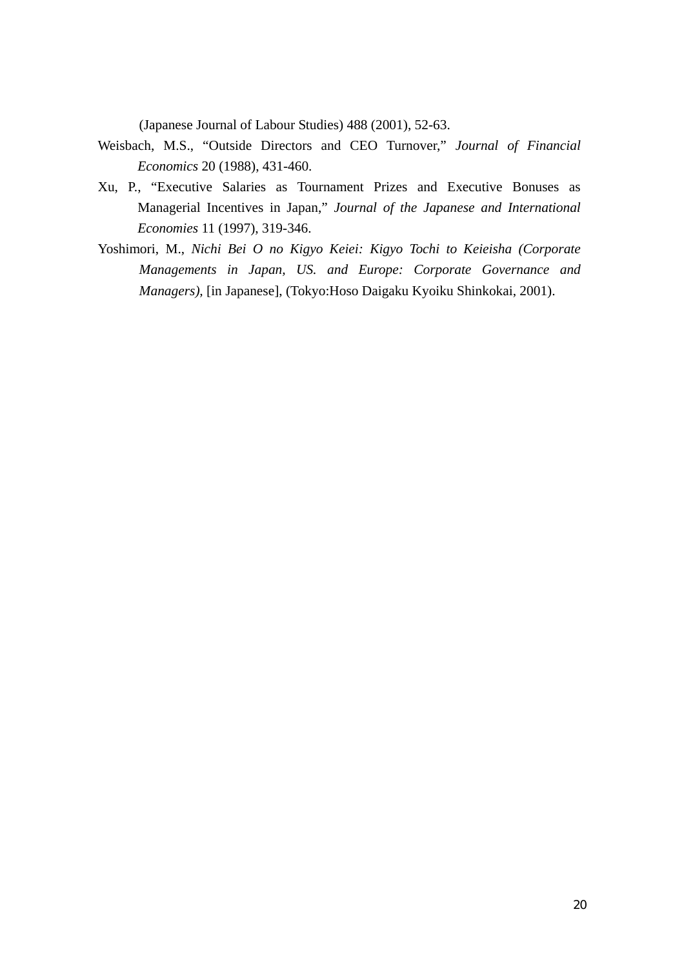(Japanese Journal of Labour Studies) 488 (2001), 52-63.

- Weisbach, M.S., "Outside Directors and CEO Turnover," *Journal of Financial Economics* 20 (1988), 431-460.
- Xu, P., "Executive Salaries as Tournament Prizes and Executive Bonuses as Managerial Incentives in Japan," *Journal of the Japanese and International Economies* 11 (1997), 319-346.
- Yoshimori, M., *Nichi Bei O no Kigyo Keiei: Kigyo Tochi to Keieisha (Corporate Managements in Japan, US. and Europe: Corporate Governance and Managers),* [in Japanese], (Tokyo:Hoso Daigaku Kyoiku Shinkokai, 2001).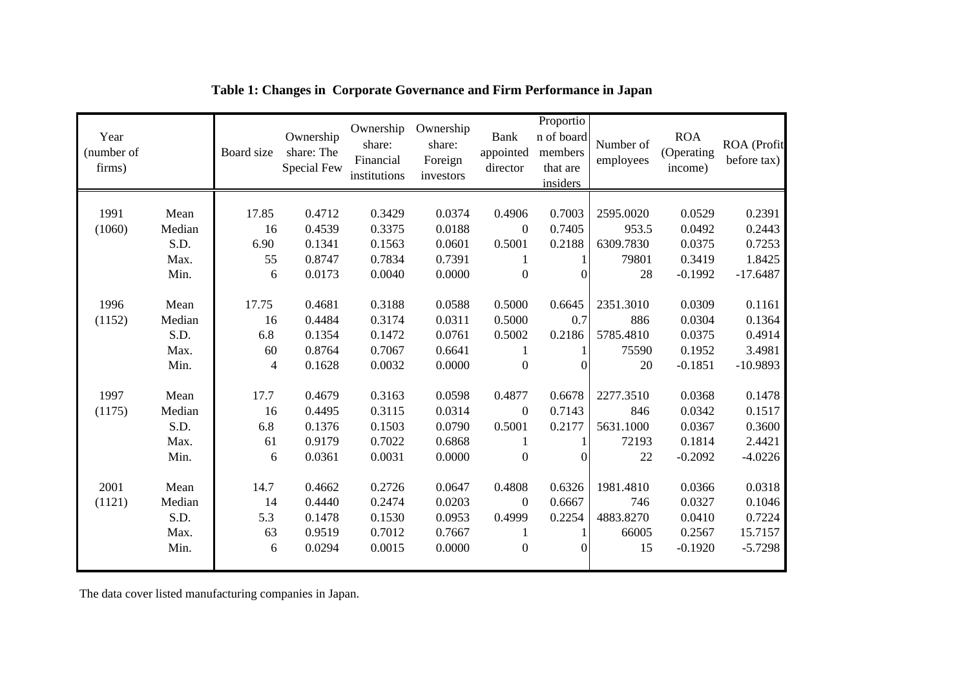| Year<br>(number of<br>firms) |                | Board size | Ownership<br>share: The<br>Special Few | Ownership<br>share:<br>Financial<br>institutions | Ownership<br>share:<br>Foreign<br>investors | <b>Bank</b><br>appointed<br>director | Proportio<br>n of board<br>members<br>that are<br>insiders | Number of<br>employees | <b>ROA</b><br>(Operating<br>income) | ROA (Profit<br>before tax) |
|------------------------------|----------------|------------|----------------------------------------|--------------------------------------------------|---------------------------------------------|--------------------------------------|------------------------------------------------------------|------------------------|-------------------------------------|----------------------------|
|                              |                |            |                                        |                                                  |                                             |                                      |                                                            |                        |                                     |                            |
| 1991                         | Mean           | 17.85      | 0.4712                                 | 0.3429                                           | 0.0374                                      | 0.4906                               | 0.7003                                                     | 2595.0020              | 0.0529                              | 0.2391                     |
| (1060)                       | Median         | 16         | 0.4539                                 | 0.3375                                           | 0.0188                                      | $\mathbf{0}$                         | 0.7405                                                     | 953.5                  | 0.0492                              | 0.2443                     |
|                              | S.D.           | 6.90       | 0.1341                                 | 0.1563                                           | 0.0601                                      | 0.5001                               | 0.2188                                                     | 6309.7830              | 0.0375                              | 0.7253                     |
|                              | Max.           | 55         | 0.8747                                 | 0.7834                                           | 0.7391                                      | 1                                    |                                                            | 79801                  | 0.3419                              | 1.8425                     |
|                              | Min.           | 6          | 0.0173                                 | 0.0040                                           | 0.0000                                      | $\boldsymbol{0}$                     |                                                            | 28                     | $-0.1992$                           | $-17.6487$                 |
|                              |                |            |                                        |                                                  |                                             |                                      |                                                            |                        |                                     |                            |
| 1996                         | Mean           | 17.75      | 0.4681<br>0.4484                       | 0.3188                                           | 0.0588                                      | 0.5000                               | 0.6645                                                     | 2351.3010<br>886       | 0.0309                              | 0.1161                     |
| (1152)                       | Median         | 16         |                                        | 0.3174                                           | 0.0311                                      | 0.5000                               | 0.7                                                        |                        | 0.0304                              | 0.1364                     |
|                              | S.D.           | 6.8        | 0.1354                                 | 0.1472                                           | 0.0761                                      | 0.5002                               | 0.2186                                                     | 5785.4810              | 0.0375                              | 0.4914                     |
|                              | Max.           | 60         | 0.8764                                 | 0.7067                                           | 0.6641                                      | 1                                    |                                                            | 75590                  | 0.1952                              | 3.4981                     |
|                              | Min.           | 4          | 0.1628                                 | 0.0032                                           | 0.0000                                      | $\boldsymbol{0}$                     | 0                                                          | 20                     | $-0.1851$                           | $-10.9893$                 |
| 1997                         | Mean           | 17.7       | 0.4679                                 | 0.3163                                           | 0.0598                                      | 0.4877                               | 0.6678                                                     | 2277.3510              | 0.0368                              | 0.1478                     |
| (1175)                       | Median         | 16         | 0.4495                                 | 0.3115                                           | 0.0314                                      | $\mathbf{0}$                         | 0.7143                                                     | 846                    | 0.0342                              | 0.1517                     |
|                              | S.D.           | 6.8        | 0.1376                                 | 0.1503                                           | 0.0790                                      | 0.5001                               | 0.2177                                                     | 5631.1000              | 0.0367                              | 0.3600                     |
|                              | Max.           | 61         | 0.9179                                 | 0.7022                                           | 0.6868                                      | 1                                    |                                                            | 72193                  | 0.1814                              | 2.4421                     |
|                              | Min.           | 6          | 0.0361                                 | 0.0031                                           | 0.0000                                      | $\boldsymbol{0}$                     | $\Omega$                                                   | 22                     | $-0.2092$                           | $-4.0226$                  |
| 2001                         | Mean           | 14.7       | 0.4662                                 | 0.2726                                           | 0.0647                                      | 0.4808                               | 0.6326                                                     | 1981.4810              | 0.0366                              | 0.0318                     |
|                              |                |            |                                        |                                                  |                                             |                                      | 0.6667                                                     |                        |                                     | 0.1046                     |
| (1121)                       | Median<br>S.D. | 14<br>5.3  | 0.4440<br>0.1478                       | 0.2474<br>0.1530                                 | 0.0203<br>0.0953                            | $\mathbf{0}$<br>0.4999               | 0.2254                                                     | 746<br>4883.8270       | 0.0327<br>0.0410                    | 0.7224                     |
|                              | Max.           | 63         | 0.9519                                 | 0.7012                                           | 0.7667                                      | 1                                    |                                                            | 66005                  | 0.2567                              | 15.7157                    |
|                              | Min.           | 6          | 0.0294                                 | 0.0015                                           | 0.0000                                      | $\boldsymbol{0}$                     |                                                            | 15                     | $-0.1920$                           | $-5.7298$                  |
|                              |                |            |                                        |                                                  |                                             |                                      |                                                            |                        |                                     |                            |

## **Table 1: Changes in Corporate Governance and Firm Performance in Japan**

The data cover listed manufacturing companies in Japan.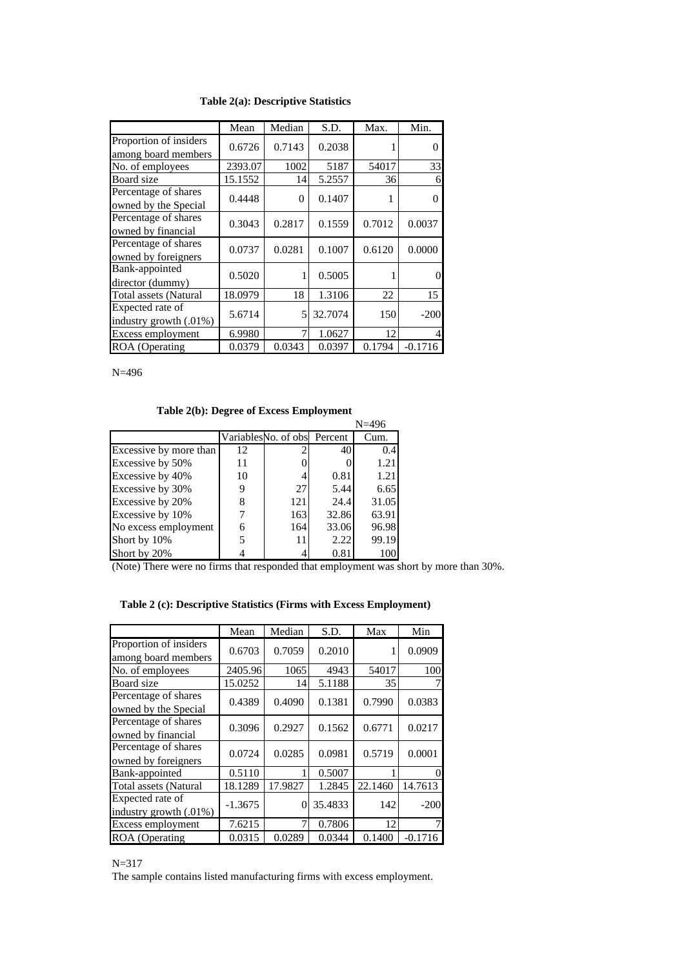#### **Table 2(a): Descriptive Statistics**

|                                               | Mean    | Median | S.D.    | Max.   | Min.           |
|-----------------------------------------------|---------|--------|---------|--------|----------------|
| Proportion of insiders<br>among board members | 0.6726  | 0.7143 | 0.2038  |        | $\Omega$       |
| No. of employees                              | 2393.07 | 1002   | 5187    | 54017  | 33             |
| Board size                                    | 15.1552 | 14     | 5.2557  | 36     | 6              |
| Percentage of shares<br>owned by the Special  | 0.4448  | 0      | 0.1407  |        | $\Omega$       |
| Percentage of shares<br>owned by financial    | 0.3043  | 0.2817 | 0.1559  | 0.7012 | 0.0037         |
| Percentage of shares<br>owned by foreigners   | 0.0737  | 0.0281 | 0.1007  | 0.6120 | 0.0000         |
| Bank-appointed<br>director (dummy)            | 0.5020  | 1      | 0.5005  |        | $\theta$       |
| <b>Total assets (Natural</b>                  | 18.0979 | 18     | 1.3106  | 22     | 15             |
| Expected rate of<br>industry growth $(.01\%)$ | 5.6714  | 5      | 32.7074 | 150    | $-200$         |
| Excess employment                             | 6.9980  | 7      | 1.0627  | 12     | $\overline{4}$ |
| ROA (Operating                                | 0.0379  | 0.0343 | 0.0397  | 0.1794 | $-0.1716$      |

N=496

### **Table 2(b): Degree of Excess Employment**

|                        |    |                              |       | $N = 496$ |
|------------------------|----|------------------------------|-------|-----------|
|                        |    | Variables No. of obs Percent |       | Cum.      |
| Excessive by more than | 12 |                              | 40    | 0.4       |
| Excessive by 50%       | 11 |                              |       | 1.21      |
| Excessive by 40%       | 10 | 4                            | 0.81  | 1.21      |
| Excessive by 30%       |    | 27                           | 5.44  | 6.65      |
| Excessive by 20%       | 8  | 121                          | 24.4  | 31.05     |
| Excessive by 10%       |    | 163                          | 32.86 | 63.91     |
| No excess employment   | 6  | 164                          | 33.06 | 96.98     |
| Short by 10%           | 5  | 11                           | 2.22  | 99.19     |
| Short by 20%           |    |                              | 0.81  | 100       |

(Note) There were no firms that responded that employment was short by more than 30%.

## **Table 2 (c): Descriptive Statistics (Firms with Excess Employment)**

|                                               | Mean      | Median   | S.D.    | Max     | Min            |
|-----------------------------------------------|-----------|----------|---------|---------|----------------|
| Proportion of insiders<br>among board members | 0.6703    | 0.7059   | 0.2010  |         | 0.0909         |
| No. of employees                              | 2405.96   | 1065     | 4943    | 54017   | 100            |
| Board size                                    | 15.0252   | 14       | 5.1188  | 35      | 7              |
| Percentage of shares<br>owned by the Special  | 0.4389    | 0.4090   | 0.1381  | 0.7990  | 0.0383         |
| Percentage of shares<br>owned by financial    | 0.3096    | 0.2927   | 0.1562  | 0.6771  | 0.0217         |
| Percentage of shares<br>owned by foreigners   | 0.0724    | 0.0285   | 0.0981  | 0.5719  | 0.0001         |
| Bank-appointed                                | 0.5110    |          | 0.5007  |         | $\theta$       |
| <b>Total assets (Natural</b>                  | 18.1289   | 17.9827  | 1.2845  | 22.1460 | 14.7613        |
| Expected rate of<br>industry growth (.01%)    | $-1.3675$ | $\Omega$ | 35.4833 | 142     | $-200$         |
| Excess employment                             | 7.6215    | 7        | 0.7806  | 12      | $\overline{7}$ |
| ROA (Operating                                | 0.0315    | 0.0289   | 0.0344  | 0.1400  | $-0.1716$      |

#### N=317

The sample contains listed manufacturing firms with excess employment.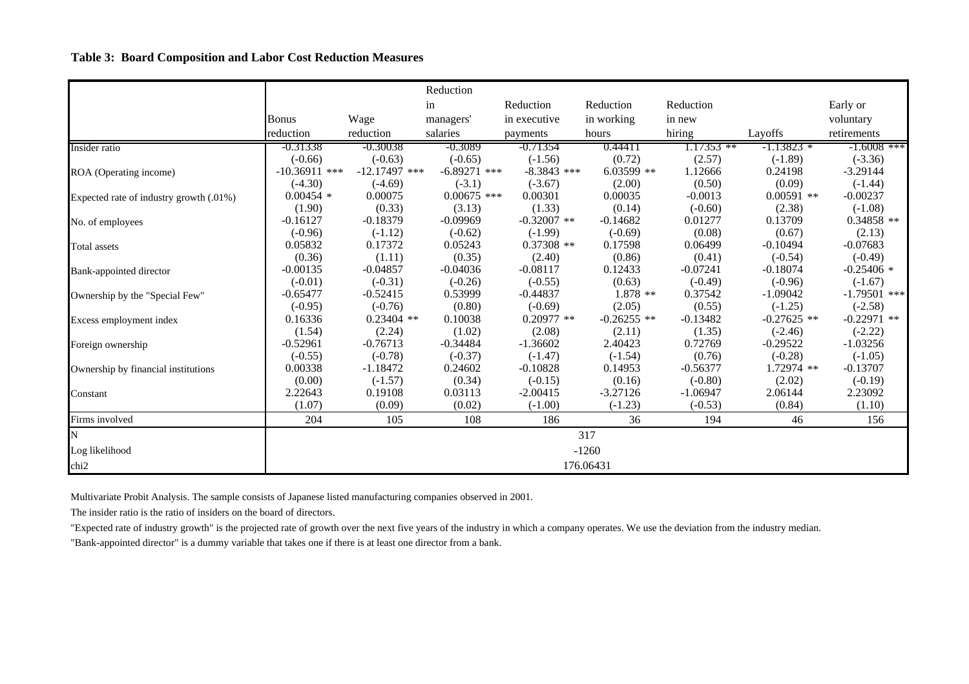#### **Table 3: Board Composition and Labor Cost Reduction Measures**

|                                         |                 |                 | Reduction      |               |               |            |               |                |
|-----------------------------------------|-----------------|-----------------|----------------|---------------|---------------|------------|---------------|----------------|
|                                         |                 |                 | in             | Reduction     | Reduction     | Reduction  |               | Early or       |
|                                         | Bonus           | Wage            | managers'      | in executive  | in working    | in new     |               | voluntary      |
|                                         | reduction       | reduction       | salaries       | payments      | hours         | hiring     | Layoffs       | retirements    |
| Insider ratio                           | -0.31338        | -0.30038        | $-0.3089$      | -0.71354      | 0.44411       | .17353 **  | -1.13823 *    | $-1.6008$ ***  |
|                                         | $(-0.66)$       | $(-0.63)$       | $(-0.65)$      | $(-1.56)$     | (0.72)        | (2.57)     | $(-1.89)$     | $(-3.36)$      |
| ROA (Operating income)                  | $-10.36911$ *** | $-12.17497$ *** | $-6.89271$ *** | $-8.3843$ *** | $6.03599$ **  | 1.12666    | 0.24198       | $-3.29144$     |
|                                         | $(-4.30)$       | $(-4.69)$       | $(-3.1)$       | $(-3.67)$     | (2.00)        | (0.50)     | (0.09)        | $(-1.44)$      |
| Expected rate of industry growth (.01%) | $0.00454$ *     | 0.00075         | $0.00675$ ***  | 0.00301       | 0.00035       | $-0.0013$  | $0.00591$ **  | $-0.00237$     |
|                                         | (1.90)          | (0.33)          | (3.13)         | (1.33)        | (0.14)        | $(-0.60)$  | (2.38)        | $(-1.08)$      |
| No. of employees                        | $-0.16127$      | $-0.18379$      | $-0.09969$     | $-0.32007$ ** | $-0.14682$    | 0.01277    | 0.13709       | $0.34858$ **   |
|                                         | $(-0.96)$       | $(-1.12)$       | $(-0.62)$      | $(-1.99)$     | $(-0.69)$     | (0.08)     | (0.67)        | (2.13)         |
| Total assets                            | 0.05832         | 0.17372         | 0.05243        | $0.37308$ **  | 0.17598       | 0.06499    | $-0.10494$    | $-0.07683$     |
|                                         | (0.36)          | (1.11)          | (0.35)         | (2.40)        | (0.86)        | (0.41)     | $(-0.54)$     | $(-0.49)$      |
| Bank-appointed director                 | $-0.00135$      | $-0.04857$      | $-0.04036$     | $-0.08117$    | 0.12433       | $-0.07241$ | $-0.18074$    | $-0.25406$ *   |
|                                         | $(-0.01)$       | $(-0.31)$       | $(-0.26)$      | $(-0.55)$     | (0.63)        | $(-0.49)$  | $(-0.96)$     | $(-1.67)$      |
| Ownership by the "Special Few"          | $-0.65477$      | $-0.52415$      | 0.53999        | $-0.44837$    | $1.878**$     | 0.37542    | $-1.09042$    | $-1.79501$ *** |
|                                         | $(-0.95)$       | $(-0.76)$       | (0.80)         | $(-0.69)$     | (2.05)        | (0.55)     | $(-1.25)$     | $(-2.58)$      |
| Excess employment index                 | 0.16336         | $0.23404$ **    | 0.10038        | $0.20977$ **  | $-0.26255$ ** | $-0.13482$ | $-0.27625$ ** | $-0.22971$ **  |
|                                         | (1.54)          | (2.24)          | (1.02)         | (2.08)        | (2.11)        | (1.35)     | $(-2.46)$     | $(-2.22)$      |
| Foreign ownership                       | $-0.52961$      | $-0.76713$      | $-0.34484$     | $-1.36602$    | 2.40423       | 0.72769    | $-0.29522$    | $-1.03256$     |
|                                         | $(-0.55)$       | $(-0.78)$       | $(-0.37)$      | $(-1.47)$     | $(-1.54)$     | (0.76)     | $(-0.28)$     | $(-1.05)$      |
| Ownership by financial institutions     | 0.00338         | $-1.18472$      | 0.24602        | $-0.10828$    | 0.14953       | $-0.56377$ | $1.72974$ **  | $-0.13707$     |
|                                         | (0.00)          | $(-1.57)$       | (0.34)         | $(-0.15)$     | (0.16)        | $(-0.80)$  | (2.02)        | $(-0.19)$      |
| Constant                                | 2.22643         | 0.19108         | 0.03113        | $-2.00415$    | $-3.27126$    | $-1.06947$ | 2.06144       | 2.23092        |
|                                         | (1.07)          | (0.09)          | (0.02)         | $(-1.00)$     | $(-1.23)$     | $(-0.53)$  | (0.84)        | (1.10)         |
| Firms involved                          | 204             | 105             | 108            | 186           | 36            | 194        | 46            | 156            |
| N                                       |                 |                 |                |               | 317           |            |               |                |
| Log likelihood                          |                 |                 |                |               | $-1260$       |            |               |                |
| chi <sub>2</sub>                        |                 |                 |                |               | 176.06431     |            |               |                |

Multivariate Probit Analysis. The sample consists of Japanese listed manufacturing companies observed in 2001.

The insider ratio is the ratio of insiders on the board of directors.

"Expected rate of industry growth" is the projected rate of growth over the next five years of the industry in which a company operates. We use the deviation from the industry median. "Bank-appointed director" is a dummy variable that takes one if there is at least one director from a bank.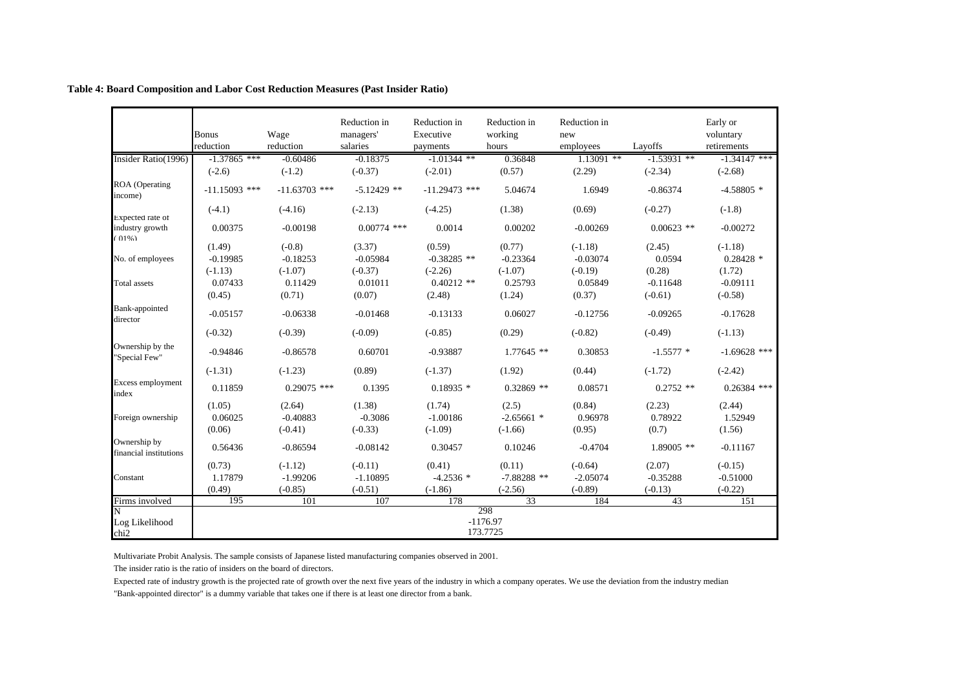|                                         | <b>Bonus</b><br>reduction | Wage<br>reduction | Reduction in<br>managers'<br>salaries | Reduction in<br>Executive<br>payments | Reduction in<br>working<br>hours | Reduction in<br>new<br>employees | Layoffs       | Early or<br>voluntary<br>retirements |
|-----------------------------------------|---------------------------|-------------------|---------------------------------------|---------------------------------------|----------------------------------|----------------------------------|---------------|--------------------------------------|
| Insider Ratio(1996)                     | $-1.37865$ ***            | $-0.60486$        | $-0.18375$                            | $-1.01344$ **                         | 0.36848                          | $1.13091$ **                     | $-1.53931$ ** | $-1.34147$ ***                       |
|                                         | $(-2.6)$                  | $(-1.2)$          | $(-0.37)$                             | $(-2.01)$                             | (0.57)                           | (2.29)                           | $(-2.34)$     | $(-2.68)$                            |
| ROA (Operating<br>income)               | $-11.15093$ ***           | $-11.63703$ ***   | $-5.12429$ **                         | $-11.29473$ ***                       | 5.04674                          | 1.6949                           | $-0.86374$    | $-4.58805$ *                         |
| Expected rate of                        | $(-4.1)$                  | $(-4.16)$         | $(-2.13)$                             | $(-4.25)$                             | (1.38)                           | (0.69)                           | $(-0.27)$     | $(-1.8)$                             |
| industry growth<br>$(01\%)$             | 0.00375                   | $-0.00198$        | $0.00774$ ***                         | 0.0014                                | 0.00202                          | $-0.00269$                       | $0.00623$ **  | $-0.00272$                           |
|                                         | (1.49)                    | $(-0.8)$          | (3.37)                                | (0.59)                                | (0.77)                           | $(-1.18)$                        | (2.45)        | $(-1.18)$                            |
| No. of employees                        | $-0.19985$                | $-0.18253$        | $-0.05984$                            | $-0.38285$ **                         | $-0.23364$                       | $-0.03074$                       | 0.0594        | $0.28428$ *                          |
|                                         | $(-1.13)$                 | $(-1.07)$         | $(-0.37)$                             | $(-2.26)$                             | $(-1.07)$                        | $(-0.19)$                        | (0.28)        | (1.72)                               |
| <b>Total</b> assets                     | 0.07433                   | 0.11429           | 0.01011                               | $0.40212$ **                          | 0.25793                          | 0.05849                          | $-0.11648$    | $-0.09111$                           |
|                                         | (0.45)                    | (0.71)            | (0.07)                                | (2.48)                                | (1.24)                           | (0.37)                           | $(-0.61)$     | $(-0.58)$                            |
| Bank-appointed<br>director              | $-0.05157$                | $-0.06338$        | $-0.01468$                            | $-0.13133$                            | 0.06027                          | $-0.12756$                       | $-0.09265$    | $-0.17628$                           |
|                                         | $(-0.32)$                 | $(-0.39)$         | $(-0.09)$                             | $(-0.85)$                             | (0.29)                           | $(-0.82)$                        | $(-0.49)$     | $(-1.13)$                            |
| Ownership by the<br>"Special Few"       | $-0.94846$                | $-0.86578$        | 0.60701                               | $-0.93887$                            | $1.77645**$                      | 0.30853                          | $-1.5577$ *   | $-1.69628$ ***                       |
|                                         | $(-1.31)$                 | $(-1.23)$         | (0.89)                                | $(-1.37)$                             | (1.92)                           | (0.44)                           | $(-1.72)$     | $(-2.42)$                            |
| Excess employment<br>index              | 0.11859                   | $0.29075$ ***     | 0.1395                                | $0.18935*$                            | $0.32869$ **                     | 0.08571                          | $0.2752$ **   | $0.26384$ ***                        |
|                                         | (1.05)                    | (2.64)            | (1.38)                                | (1.74)                                | (2.5)                            | (0.84)                           | (2.23)        | (2.44)                               |
| Foreign ownership                       | 0.06025                   | $-0.40883$        | $-0.3086$                             | $-1.00186$                            | $-2.65661$ *                     | 0.96978                          | 0.78922       | 1.52949                              |
|                                         | (0.06)                    | $(-0.41)$         | $(-0.33)$                             | $(-1.09)$                             | $(-1.66)$                        | (0.95)                           | (0.7)         | (1.56)                               |
| Ownership by<br>financial institutions  | 0.56436                   | $-0.86594$        | $-0.08142$                            | 0.30457                               | 0.10246                          | $-0.4704$                        | $1.89005$ **  | $-0.11167$                           |
|                                         | (0.73)                    | $(-1.12)$         | $(-0.11)$                             | (0.41)                                | (0.11)                           | $(-0.64)$                        | (2.07)        | $(-0.15)$                            |
| Constant                                | 1.17879                   | $-1.99206$        | $-1.10895$                            | $-4.2536*$                            | $-7.88288$ **                    | $-2.05074$                       | $-0.35288$    | $-0.51000$                           |
|                                         | (0.49)                    | $(-0.85)$         | $(-0.51)$                             | $(-1.86)$                             | $(-2.56)$                        | $(-0.89)$                        | $(-0.13)$     | $(-0.22)$                            |
| Firms involved                          | 195                       | 101               | 107                                   | 178                                   | 33                               | 184                              | 43            | 151                                  |
| N<br>Log Likelihood<br>chi <sub>2</sub> |                           |                   |                                       |                                       | 298<br>$-1176.97$<br>173.7725    |                                  |               |                                      |

#### **Table 4: Board Composition and Labor Cost Reduction Measures (Past Insider Ratio)**

Multivariate Probit Analysis. The sample consists of Japanese listed manufacturing companies observed in 2001.

The insider ratio is the ratio of insiders on the board of directors.

Expected rate of industry growth is the projected rate of growth over the next five years of the industry in which a company operates. We use the deviation from the industry median "Bank-appointed director" is a dummy variable that takes one if there is at least one director from a bank.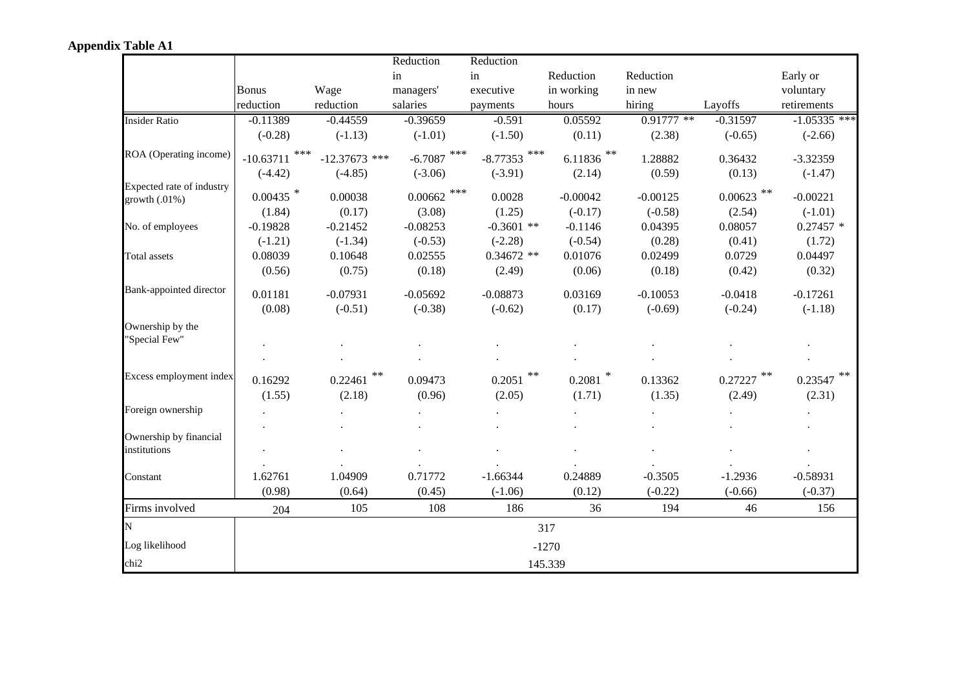|                           |                      |                   | Reduction         | Reduction        |                  |                   |                   |                        |
|---------------------------|----------------------|-------------------|-------------------|------------------|------------------|-------------------|-------------------|------------------------|
|                           |                      |                   | in                | in               | Reduction        | Reduction         |                   | Early or               |
|                           | <b>Bonus</b>         | Wage              | managers'         | executive        | in working       | in new            |                   | voluntary              |
|                           | reduction            | reduction         | salaries          | payments         | hours            | hiring            | Layoffs           | retirements            |
| <b>Insider Ratio</b>      | $-0.11389$           | $-0.44559$        | $-0.39659$        | $-0.591$         | 0.05592          | $0.91777$ **      | $-0.31597$        | $-1.05335$ ***         |
|                           | $(-0.28)$            | $(-1.13)$         | $(-1.01)$         | $(-1.50)$        | (0.11)           | (2.38)            | $(-0.65)$         | $(-2.66)$              |
| ROA (Operating income)    | $***$<br>$-10.63711$ | $-12.37673$ ***   | ***<br>$-6.7087$  | $-8.77353$ ***   | $6.11836$ **     | 1.28882           | 0.36432           | $-3.32359$             |
|                           | $(-4.42)$            | $(-4.85)$         | $(-3.06)$         | $(-3.91)$        | (2.14)           | (0.59)            | (0.13)            | $(-1.47)$              |
| Expected rate of industry | $0.00435$ *          | 0.00038           | $0.00662$ ***     | 0.0028           | $-0.00042$       | $-0.00125$        | $0.00623$ **      | $-0.00221$             |
| growth $(.01\%)$          | (1.84)               | (0.17)            | (3.08)            |                  | $(-0.17)$        |                   |                   | $(-1.01)$              |
|                           |                      |                   |                   | (1.25)           |                  | $(-0.58)$         | (2.54)            |                        |
| No. of employees          | $-0.19828$           | $-0.21452$        | $-0.08253$        | $-0.3601$ **     | $-0.1146$        | 0.04395           | 0.08057           | $0.27457$ *            |
|                           | $(-1.21)$            | $(-1.34)$         | $(-0.53)$         | $(-2.28)$        | $(-0.54)$        | (0.28)            | (0.41)            | (1.72)                 |
| <b>Total assets</b>       | 0.08039              | 0.10648           | 0.02555           | $0.34672$ **     | 0.01076          | 0.02499           | 0.0729            | 0.04497                |
|                           | (0.56)               | (0.75)            | (0.18)            | (2.49)           | (0.06)           | (0.18)            | (0.42)            | (0.32)                 |
| Bank-appointed director   | 0.01181              | $-0.07931$        | $-0.05692$        | $-0.08873$       | 0.03169          | $-0.10053$        | $-0.0418$         | $-0.17261$             |
|                           | (0.08)               | $(-0.51)$         | $(-0.38)$         | $(-0.62)$        | (0.17)           | $(-0.69)$         | $(-0.24)$         | $(-1.18)$              |
| Ownership by the          |                      |                   |                   |                  |                  |                   |                   |                        |
| "Special Few"             |                      |                   |                   |                  |                  |                   |                   |                        |
|                           |                      |                   |                   |                  |                  |                   |                   |                        |
| Excess employment index   | 0.16292<br>(1.55)    | 0.22461<br>(2.18) | 0.09473<br>(0.96) | 0.2051<br>(2.05) | 0.2081<br>(1.71) | 0.13362<br>(1.35) | 0.27227<br>(2.49) | $0.23547$ **<br>(2.31) |
| Foreign ownership         |                      |                   |                   |                  |                  |                   |                   |                        |
| Ownership by financial    |                      |                   |                   |                  |                  |                   |                   |                        |
| institutions              |                      |                   |                   |                  |                  |                   |                   |                        |
| Constant                  | 1.62761              | 1.04909           | 0.71772           | $-1.66344$       | 0.24889          | $-0.3505$         | $-1.2936$         | $-0.58931$             |
|                           | (0.98)               | (0.64)            | (0.45)            | $(-1.06)$        | (0.12)           | $(-0.22)$         | $(-0.66)$         | $(-0.37)$              |
| Firms involved            | 204                  | 105               | 108               | 186              | 36               | 194               | 46                | 156                    |
| N                         |                      |                   |                   |                  | 317              |                   |                   |                        |
| Log likelihood            |                      |                   |                   |                  | $-1270$          |                   |                   |                        |
| chi <sub>2</sub>          |                      |                   |                   |                  | 145.339          |                   |                   |                        |

# **Appendix Table A1**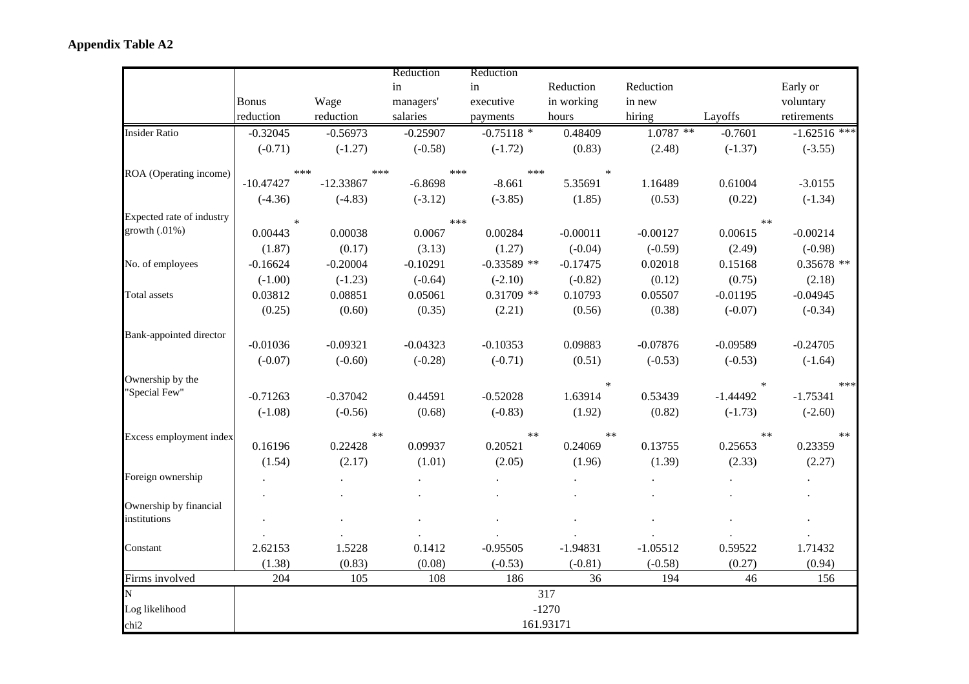|                                        |                          |                          | Reduction              | Reduction             |                   |                   |                   |                        |
|----------------------------------------|--------------------------|--------------------------|------------------------|-----------------------|-------------------|-------------------|-------------------|------------------------|
|                                        |                          |                          | in                     | in                    | Reduction         | Reduction         |                   | Early or               |
|                                        | <b>Bonus</b>             | Wage                     | managers'              | executive             | in working        | in new            |                   | voluntary              |
|                                        | reduction                | reduction                | salaries               | payments              | hours             | hiring            | Layoffs           | retirements            |
| <b>Insider Ratio</b>                   | $-0.32045$               | $-0.56973$               | $-0.25907$             | $-0.75118$ *          | 0.48409           | $1.0787$ **       | $-0.7601$         | $-1.62516$ ***         |
|                                        | $(-0.71)$                | $(-1.27)$                | $(-0.58)$              | $(-1.72)$             | (0.83)            | (2.48)            | $(-1.37)$         | $(-3.55)$              |
| ROA (Operating income)                 | $***$                    |                          | ***                    | ***<br>***            | $\ast$            |                   |                   |                        |
|                                        | $-10.47427$<br>$(-4.36)$ | $-12.33867$<br>$(-4.83)$ | $-6.8698$<br>$(-3.12)$ | $-8.661$<br>$(-3.85)$ | 5.35691<br>(1.85) | 1.16489<br>(0.53) | 0.61004<br>(0.22) | $-3.0155$<br>$(-1.34)$ |
| Expected rate of industry              | $\ast$                   |                          |                        | ***                   |                   |                   | $**$              |                        |
| growth $(.01\%)$                       | 0.00443                  | 0.00038                  | 0.0067                 | 0.00284               | $-0.00011$        | $-0.00127$        | 0.00615           | $-0.00214$             |
|                                        | (1.87)                   | (0.17)                   | (3.13)                 | (1.27)                | $(-0.04)$         | $(-0.59)$         | (2.49)            | $(-0.98)$              |
| No. of employees                       | $-0.16624$               | $-0.20004$               | $-0.10291$             | $-0.33589$ **         | $-0.17475$        | 0.02018           | 0.15168           | $0.35678$ **           |
|                                        | $(-1.00)$                | $(-1.23)$                | $(-0.64)$              | $(-2.10)$             | $(-0.82)$         | (0.12)            | (0.75)            | (2.18)                 |
| Total assets                           | 0.03812                  | 0.08851                  | 0.05061                | $0.31709$ **          | 0.10793           | 0.05507           | $-0.01195$        | $-0.04945$             |
|                                        | (0.25)                   | (0.60)                   | (0.35)                 | (2.21)                | (0.56)            | (0.38)            | $(-0.07)$         | $(-0.34)$              |
| Bank-appointed director                |                          |                          |                        |                       |                   |                   |                   |                        |
|                                        | $-0.01036$               | $-0.09321$               | $-0.04323$             | $-0.10353$            | 0.09883           | $-0.07876$        | $-0.09589$        | $-0.24705$             |
|                                        | $(-0.07)$                | $(-0.60)$                | $(-0.28)$              | $(-0.71)$             | (0.51)            | $(-0.53)$         | $(-0.53)$         | $(-1.64)$              |
| Ownership by the                       |                          |                          |                        |                       | $\ast$            |                   | $\ast$            | ***                    |
| "Special Few"                          | $-0.71263$               | $-0.37042$               | 0.44591                | $-0.52028$            | 1.63914           | 0.53439           | $-1.44492$        | $-1.75341$             |
|                                        | $(-1.08)$                | $(-0.56)$                | (0.68)                 | $(-0.83)$             | (1.92)            | (0.82)            | $(-1.73)$         | $(-2.60)$              |
| Excess employment index                |                          | $***$                    |                        | $**$                  | $**$              |                   | $**$              | $\ast\ast$             |
|                                        | 0.16196                  | 0.22428                  | 0.09937                | 0.20521               | 0.24069           | 0.13755           | 0.25653           | 0.23359                |
|                                        | (1.54)                   | (2.17)                   | (1.01)                 | (2.05)                | (1.96)            | (1.39)            | (2.33)            | (2.27)                 |
| Foreign ownership                      |                          |                          |                        |                       |                   |                   |                   |                        |
|                                        |                          |                          |                        |                       |                   |                   |                   |                        |
| Ownership by financial<br>institutions |                          |                          |                        |                       |                   |                   |                   |                        |
|                                        |                          |                          |                        |                       |                   |                   |                   |                        |
| Constant                               | 2.62153                  | 1.5228                   | 0.1412                 | $-0.95505$            | $-1.94831$        | $-1.05512$        | 0.59522           | 1.71432                |
|                                        | (1.38)                   | (0.83)                   | (0.08)                 | $(-0.53)$             | $(-0.81)$         | $(-0.58)$         | (0.27)            | (0.94)                 |
| Firms involved                         | 204                      | 105                      | 108                    | 186                   | 36                | 194               | 46                | 156                    |
| N                                      |                          |                          |                        |                       | 317               |                   |                   |                        |
| Log likelihood                         |                          |                          |                        |                       | $-1270$           |                   |                   |                        |
| chi <sub>2</sub>                       |                          |                          |                        |                       | 161.93171         |                   |                   |                        |